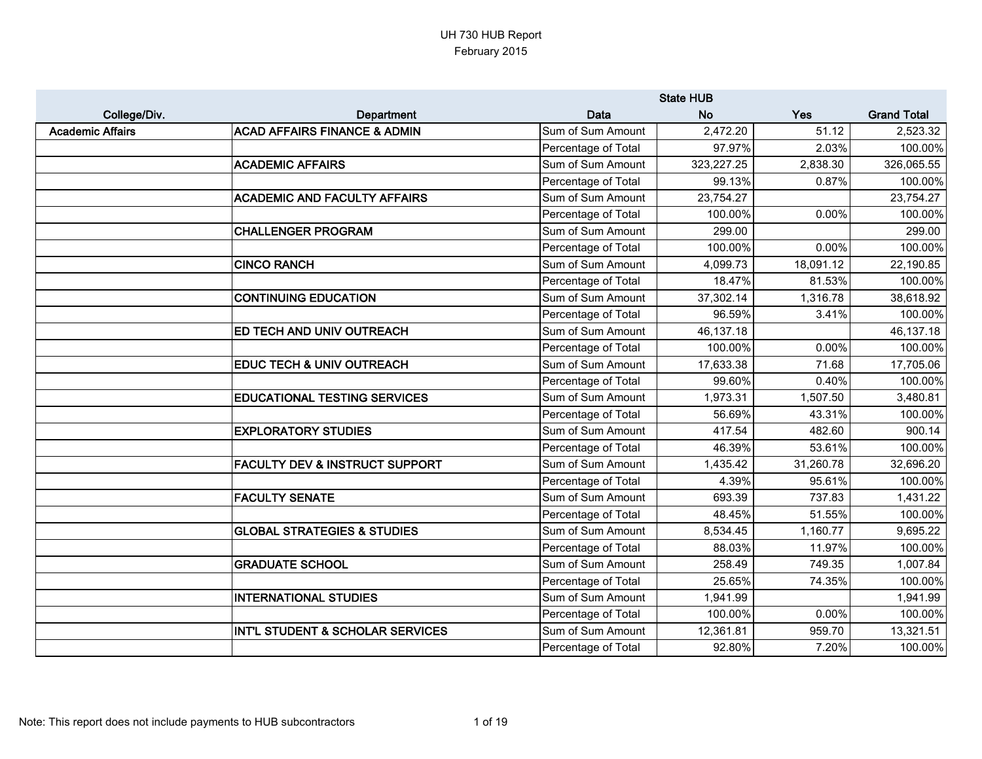|                         |                                           |                     | <b>State HUB</b> |           |                    |
|-------------------------|-------------------------------------------|---------------------|------------------|-----------|--------------------|
| College/Div.            | Department                                | Data                | <b>No</b>        | Yes       | <b>Grand Total</b> |
| <b>Academic Affairs</b> | <b>ACAD AFFAIRS FINANCE &amp; ADMIN</b>   | Sum of Sum Amount   | 2,472.20         | 51.12     | 2,523.32           |
|                         |                                           | Percentage of Total | 97.97%           | 2.03%     | 100.00%            |
|                         | <b>ACADEMIC AFFAIRS</b>                   | Sum of Sum Amount   | 323,227.25       | 2,838.30  | 326,065.55         |
|                         |                                           | Percentage of Total | 99.13%           | 0.87%     | 100.00%            |
|                         | <b>ACADEMIC AND FACULTY AFFAIRS</b>       | Sum of Sum Amount   | 23,754.27        |           | 23,754.27          |
|                         |                                           | Percentage of Total | 100.00%          | 0.00%     | 100.00%            |
|                         | <b>CHALLENGER PROGRAM</b>                 | Sum of Sum Amount   | 299.00           |           | 299.00             |
|                         |                                           | Percentage of Total | 100.00%          | 0.00%     | 100.00%            |
|                         | <b>CINCO RANCH</b>                        | Sum of Sum Amount   | 4,099.73         | 18,091.12 | 22,190.85          |
|                         |                                           | Percentage of Total | 18.47%           | 81.53%    | 100.00%            |
|                         | <b>CONTINUING EDUCATION</b>               | Sum of Sum Amount   | 37,302.14        | 1,316.78  | 38,618.92          |
|                         |                                           | Percentage of Total | 96.59%           | 3.41%     | 100.00%            |
|                         | <b>ED TECH AND UNIV OUTREACH</b>          | Sum of Sum Amount   | 46,137.18        |           | 46,137.18          |
|                         |                                           | Percentage of Total | 100.00%          | 0.00%     | 100.00%            |
|                         | <b>EDUC TECH &amp; UNIV OUTREACH</b>      | Sum of Sum Amount   | 17,633.38        | 71.68     | 17,705.06          |
|                         |                                           | Percentage of Total | 99.60%           | 0.40%     | 100.00%            |
|                         | <b>EDUCATIONAL TESTING SERVICES</b>       | Sum of Sum Amount   | 1,973.31         | 1,507.50  | 3,480.81           |
|                         |                                           | Percentage of Total | 56.69%           | 43.31%    | 100.00%            |
|                         | <b>EXPLORATORY STUDIES</b>                | Sum of Sum Amount   | 417.54           | 482.60    | 900.14             |
|                         |                                           | Percentage of Total | 46.39%           | 53.61%    | 100.00%            |
|                         | <b>FACULTY DEV &amp; INSTRUCT SUPPORT</b> | Sum of Sum Amount   | 1,435.42         | 31,260.78 | 32,696.20          |
|                         |                                           | Percentage of Total | 4.39%            | 95.61%    | 100.00%            |
|                         | <b>FACULTY SENATE</b>                     | Sum of Sum Amount   | 693.39           | 737.83    | 1,431.22           |
|                         |                                           | Percentage of Total | 48.45%           | 51.55%    | 100.00%            |
|                         | <b>GLOBAL STRATEGIES &amp; STUDIES</b>    | Sum of Sum Amount   | 8,534.45         | 1,160.77  | 9,695.22           |
|                         |                                           | Percentage of Total | 88.03%           | 11.97%    | 100.00%            |
|                         | <b>GRADUATE SCHOOL</b>                    | Sum of Sum Amount   | 258.49           | 749.35    | 1,007.84           |
|                         |                                           | Percentage of Total | 25.65%           | 74.35%    | 100.00%            |
|                         | <b>INTERNATIONAL STUDIES</b>              | Sum of Sum Amount   | 1,941.99         |           | 1,941.99           |
|                         |                                           | Percentage of Total | 100.00%          | 0.00%     | 100.00%            |
|                         | INT'L STUDENT & SCHOLAR SERVICES          | Sum of Sum Amount   | 12,361.81        | 959.70    | 13,321.51          |
|                         |                                           | Percentage of Total | 92.80%           | 7.20%     | 100.00%            |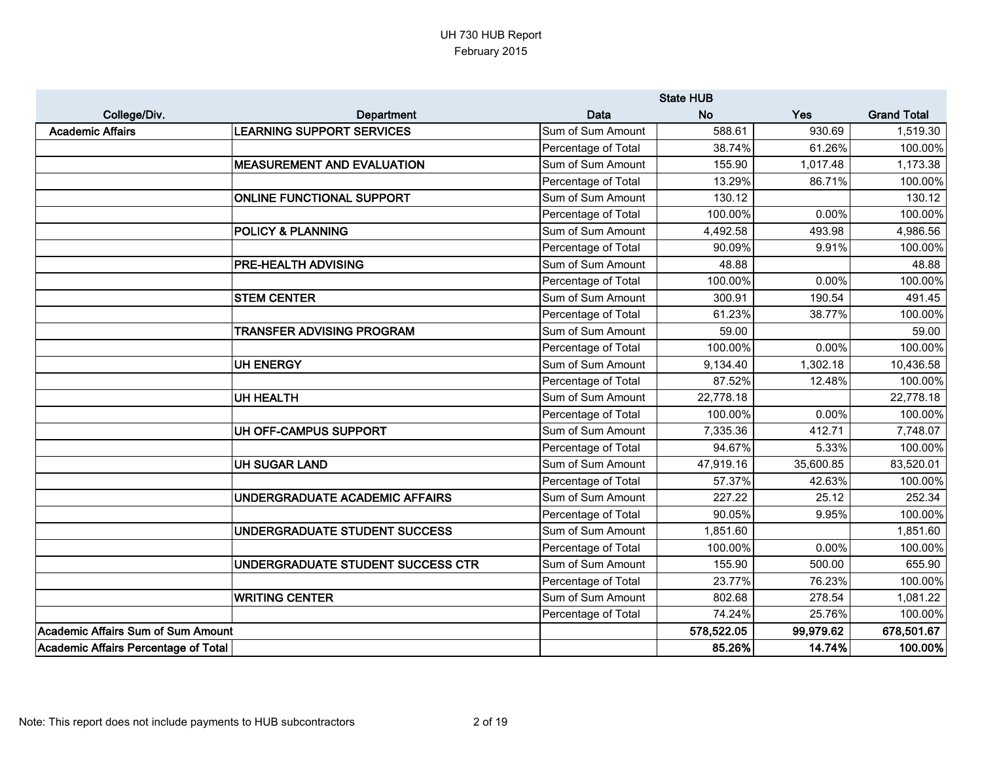|                                      |                                   |                     | <b>State HUB</b> |           |                    |
|--------------------------------------|-----------------------------------|---------------------|------------------|-----------|--------------------|
| College/Div.                         | Department                        | Data                | <b>No</b>        | Yes       | <b>Grand Total</b> |
| <b>Academic Affairs</b>              | <b>LEARNING SUPPORT SERVICES</b>  | Sum of Sum Amount   | 588.61           | 930.69    | 1,519.30           |
|                                      |                                   | Percentage of Total | 38.74%           | 61.26%    | 100.00%            |
|                                      | <b>MEASUREMENT AND EVALUATION</b> | Sum of Sum Amount   | 155.90           | 1,017.48  | 1,173.38           |
|                                      |                                   | Percentage of Total | 13.29%           | 86.71%    | 100.00%            |
|                                      | <b>ONLINE FUNCTIONAL SUPPORT</b>  | Sum of Sum Amount   | 130.12           |           | 130.12             |
|                                      |                                   | Percentage of Total | 100.00%          | 0.00%     | 100.00%            |
|                                      | <b>POLICY &amp; PLANNING</b>      | Sum of Sum Amount   | 4,492.58         | 493.98    | 4,986.56           |
|                                      |                                   | Percentage of Total | 90.09%           | 9.91%     | 100.00%            |
|                                      | PRE-HEALTH ADVISING               | Sum of Sum Amount   | 48.88            |           | 48.88              |
|                                      |                                   | Percentage of Total | 100.00%          | 0.00%     | 100.00%            |
|                                      | <b>STEM CENTER</b>                | Sum of Sum Amount   | 300.91           | 190.54    | 491.45             |
|                                      |                                   | Percentage of Total | 61.23%           | 38.77%    | 100.00%            |
|                                      | <b>TRANSFER ADVISING PROGRAM</b>  | Sum of Sum Amount   | 59.00            |           | 59.00              |
|                                      |                                   | Percentage of Total | 100.00%          | 0.00%     | 100.00%            |
|                                      | <b>UH ENERGY</b>                  | Sum of Sum Amount   | 9,134.40         | 1,302.18  | 10,436.58          |
|                                      |                                   | Percentage of Total | 87.52%           | 12.48%    | 100.00%            |
|                                      | <b>UH HEALTH</b>                  | Sum of Sum Amount   | 22,778.18        |           | 22,778.18          |
|                                      |                                   | Percentage of Total | 100.00%          | 0.00%     | 100.00%            |
|                                      | UH OFF-CAMPUS SUPPORT             | Sum of Sum Amount   | 7,335.36         | 412.71    | 7,748.07           |
|                                      |                                   | Percentage of Total | 94.67%           | 5.33%     | 100.00%            |
|                                      | <b>UH SUGAR LAND</b>              | Sum of Sum Amount   | 47,919.16        | 35,600.85 | 83,520.01          |
|                                      |                                   | Percentage of Total | 57.37%           | 42.63%    | 100.00%            |
|                                      | UNDERGRADUATE ACADEMIC AFFAIRS    | Sum of Sum Amount   | 227.22           | 25.12     | 252.34             |
|                                      |                                   | Percentage of Total | 90.05%           | 9.95%     | 100.00%            |
|                                      | UNDERGRADUATE STUDENT SUCCESS     | Sum of Sum Amount   | 1,851.60         |           | 1,851.60           |
|                                      |                                   | Percentage of Total | 100.00%          | 0.00%     | 100.00%            |
|                                      | UNDERGRADUATE STUDENT SUCCESS CTR | Sum of Sum Amount   | 155.90           | 500.00    | 655.90             |
|                                      |                                   | Percentage of Total | 23.77%           | 76.23%    | 100.00%            |
|                                      | <b>WRITING CENTER</b>             | Sum of Sum Amount   | 802.68           | 278.54    | 1,081.22           |
|                                      |                                   | Percentage of Total | 74.24%           | 25.76%    | 100.00%            |
| Academic Affairs Sum of Sum Amount   |                                   |                     | 578,522.05       | 99,979.62 | 678,501.67         |
| Academic Affairs Percentage of Total |                                   |                     | 85.26%           | 14.74%    | 100.00%            |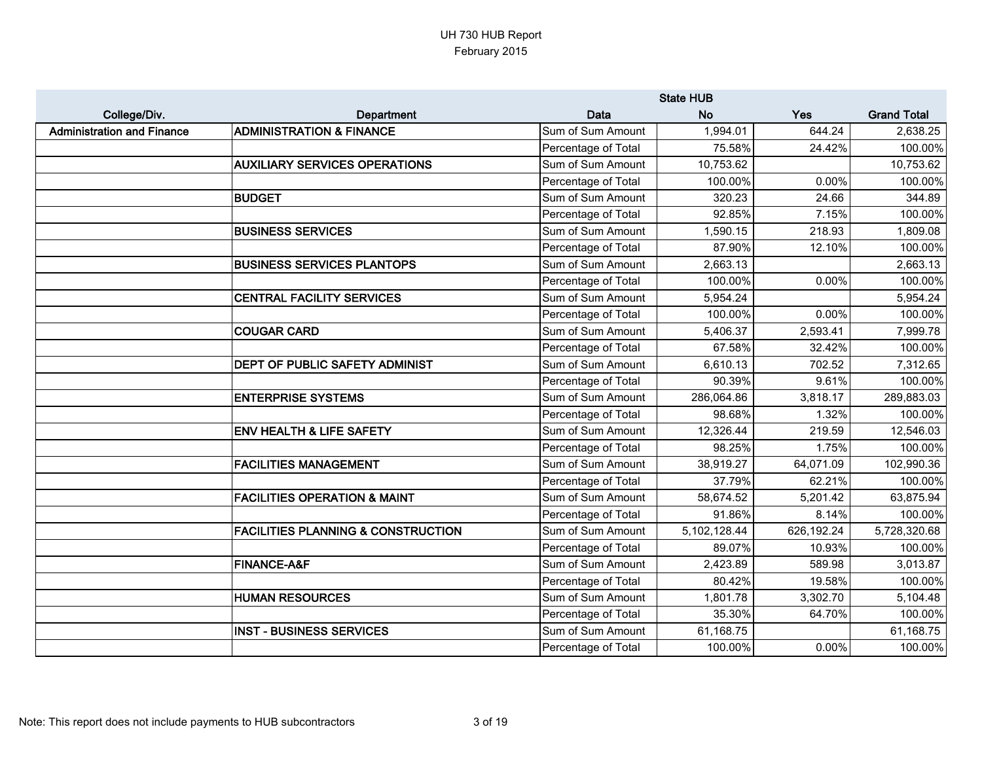|                                   |                                               |                     | <b>State HUB</b> |            |                    |
|-----------------------------------|-----------------------------------------------|---------------------|------------------|------------|--------------------|
| College/Div.                      | Department                                    | Data                | <b>No</b>        | Yes        | <b>Grand Total</b> |
| <b>Administration and Finance</b> | <b>ADMINISTRATION &amp; FINANCE</b>           | Sum of Sum Amount   | 1,994.01         | 644.24     | 2,638.25           |
|                                   |                                               | Percentage of Total | 75.58%           | 24.42%     | 100.00%            |
|                                   | <b>AUXILIARY SERVICES OPERATIONS</b>          | Sum of Sum Amount   | 10,753.62        |            | 10,753.62          |
|                                   |                                               | Percentage of Total | 100.00%          | 0.00%      | 100.00%            |
|                                   | <b>BUDGET</b>                                 | Sum of Sum Amount   | 320.23           | 24.66      | 344.89             |
|                                   |                                               | Percentage of Total | 92.85%           | 7.15%      | 100.00%            |
|                                   | <b>BUSINESS SERVICES</b>                      | Sum of Sum Amount   | 1,590.15         | 218.93     | 1,809.08           |
|                                   |                                               | Percentage of Total | 87.90%           | 12.10%     | 100.00%            |
|                                   | <b>BUSINESS SERVICES PLANTOPS</b>             | Sum of Sum Amount   | 2,663.13         |            | 2,663.13           |
|                                   |                                               | Percentage of Total | 100.00%          | 0.00%      | 100.00%            |
|                                   | <b>CENTRAL FACILITY SERVICES</b>              | Sum of Sum Amount   | 5,954.24         |            | 5,954.24           |
|                                   |                                               | Percentage of Total | 100.00%          | 0.00%      | 100.00%            |
|                                   | <b>COUGAR CARD</b>                            | Sum of Sum Amount   | 5,406.37         | 2,593.41   | 7,999.78           |
|                                   |                                               | Percentage of Total | 67.58%           | 32.42%     | 100.00%            |
|                                   | DEPT OF PUBLIC SAFETY ADMINIST                | Sum of Sum Amount   | 6,610.13         | 702.52     | 7,312.65           |
|                                   |                                               | Percentage of Total | 90.39%           | 9.61%      | 100.00%            |
|                                   | <b>ENTERPRISE SYSTEMS</b>                     | Sum of Sum Amount   | 286,064.86       | 3,818.17   | 289,883.03         |
|                                   |                                               | Percentage of Total | 98.68%           | 1.32%      | 100.00%            |
|                                   | <b>ENV HEALTH &amp; LIFE SAFETY</b>           | Sum of Sum Amount   | 12,326.44        | 219.59     | 12,546.03          |
|                                   |                                               | Percentage of Total | 98.25%           | 1.75%      | 100.00%            |
|                                   | <b>FACILITIES MANAGEMENT</b>                  | Sum of Sum Amount   | 38,919.27        | 64,071.09  | 102,990.36         |
|                                   |                                               | Percentage of Total | 37.79%           | 62.21%     | 100.00%            |
|                                   | <b>FACILITIES OPERATION &amp; MAINT</b>       | Sum of Sum Amount   | 58,674.52        | 5,201.42   | 63,875.94          |
|                                   |                                               | Percentage of Total | 91.86%           | 8.14%      | 100.00%            |
|                                   | <b>FACILITIES PLANNING &amp; CONSTRUCTION</b> | Sum of Sum Amount   | 5,102,128.44     | 626,192.24 | 5,728,320.68       |
|                                   |                                               | Percentage of Total | 89.07%           | 10.93%     | 100.00%            |
|                                   | <b>FINANCE-A&amp;F</b>                        | Sum of Sum Amount   | 2,423.89         | 589.98     | 3,013.87           |
|                                   |                                               | Percentage of Total | 80.42%           | 19.58%     | 100.00%            |
|                                   | <b>HUMAN RESOURCES</b>                        | Sum of Sum Amount   | 1,801.78         | 3,302.70   | 5,104.48           |
|                                   |                                               | Percentage of Total | 35.30%           | 64.70%     | 100.00%            |
|                                   | <b>INST - BUSINESS SERVICES</b>               | Sum of Sum Amount   | 61,168.75        |            | 61,168.75          |
|                                   |                                               | Percentage of Total | 100.00%          | 0.00%      | 100.00%            |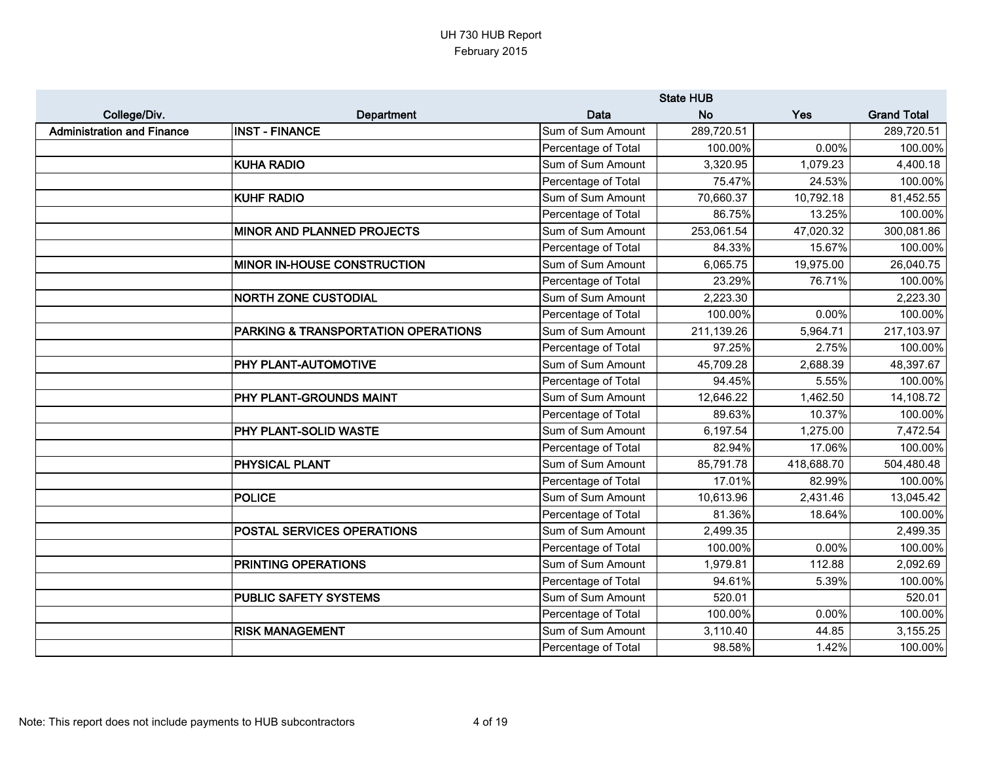|                                   |                                     |                     | <b>State HUB</b> |            |                    |
|-----------------------------------|-------------------------------------|---------------------|------------------|------------|--------------------|
| College/Div.                      | Department                          | Data                | <b>No</b>        | Yes        | <b>Grand Total</b> |
| <b>Administration and Finance</b> | <b>INST - FINANCE</b>               | Sum of Sum Amount   | 289,720.51       |            | 289,720.51         |
|                                   |                                     | Percentage of Total | 100.00%          | 0.00%      | 100.00%            |
|                                   | <b>KUHA RADIO</b>                   | Sum of Sum Amount   | 3,320.95         | 1,079.23   | 4,400.18           |
|                                   |                                     | Percentage of Total | 75.47%           | 24.53%     | 100.00%            |
|                                   | <b>KUHF RADIO</b>                   | Sum of Sum Amount   | 70,660.37        | 10,792.18  | 81,452.55          |
|                                   |                                     | Percentage of Total | 86.75%           | 13.25%     | 100.00%            |
|                                   | <b>MINOR AND PLANNED PROJECTS</b>   | Sum of Sum Amount   | 253,061.54       | 47,020.32  | 300,081.86         |
|                                   |                                     | Percentage of Total | 84.33%           | 15.67%     | 100.00%            |
|                                   | MINOR IN-HOUSE CONSTRUCTION         | Sum of Sum Amount   | 6,065.75         | 19,975.00  | 26,040.75          |
|                                   |                                     | Percentage of Total | 23.29%           | 76.71%     | 100.00%            |
|                                   | <b>NORTH ZONE CUSTODIAL</b>         | Sum of Sum Amount   | 2,223.30         |            | 2,223.30           |
|                                   |                                     | Percentage of Total | 100.00%          | $0.00\%$   | 100.00%            |
|                                   | PARKING & TRANSPORTATION OPERATIONS | Sum of Sum Amount   | 211,139.26       | 5,964.71   | 217,103.97         |
|                                   |                                     | Percentage of Total | 97.25%           | 2.75%      | 100.00%            |
|                                   | PHY PLANT-AUTOMOTIVE                | Sum of Sum Amount   | 45,709.28        | 2,688.39   | 48,397.67          |
|                                   |                                     | Percentage of Total | 94.45%           | 5.55%      | 100.00%            |
|                                   | PHY PLANT-GROUNDS MAINT             | Sum of Sum Amount   | 12,646.22        | 1,462.50   | 14,108.72          |
|                                   |                                     | Percentage of Total | 89.63%           | 10.37%     | 100.00%            |
|                                   | PHY PLANT-SOLID WASTE               | Sum of Sum Amount   | 6,197.54         | 1,275.00   | 7,472.54           |
|                                   |                                     | Percentage of Total | 82.94%           | 17.06%     | 100.00%            |
|                                   | PHYSICAL PLANT                      | Sum of Sum Amount   | 85,791.78        | 418,688.70 | 504,480.48         |
|                                   |                                     | Percentage of Total | 17.01%           | 82.99%     | 100.00%            |
|                                   | <b>POLICE</b>                       | Sum of Sum Amount   | 10,613.96        | 2,431.46   | 13,045.42          |
|                                   |                                     | Percentage of Total | 81.36%           | 18.64%     | 100.00%            |
|                                   | POSTAL SERVICES OPERATIONS          | Sum of Sum Amount   | 2,499.35         |            | 2,499.35           |
|                                   |                                     | Percentage of Total | 100.00%          | 0.00%      | 100.00%            |
|                                   | PRINTING OPERATIONS                 | Sum of Sum Amount   | 1,979.81         | 112.88     | 2,092.69           |
|                                   |                                     | Percentage of Total | 94.61%           | 5.39%      | 100.00%            |
|                                   | <b>PUBLIC SAFETY SYSTEMS</b>        | Sum of Sum Amount   | 520.01           |            | 520.01             |
|                                   |                                     | Percentage of Total | 100.00%          | 0.00%      | 100.00%            |
|                                   | <b>RISK MANAGEMENT</b>              | Sum of Sum Amount   | 3,110.40         | 44.85      | 3,155.25           |
|                                   |                                     | Percentage of Total | 98.58%           | 1.42%      | 100.00%            |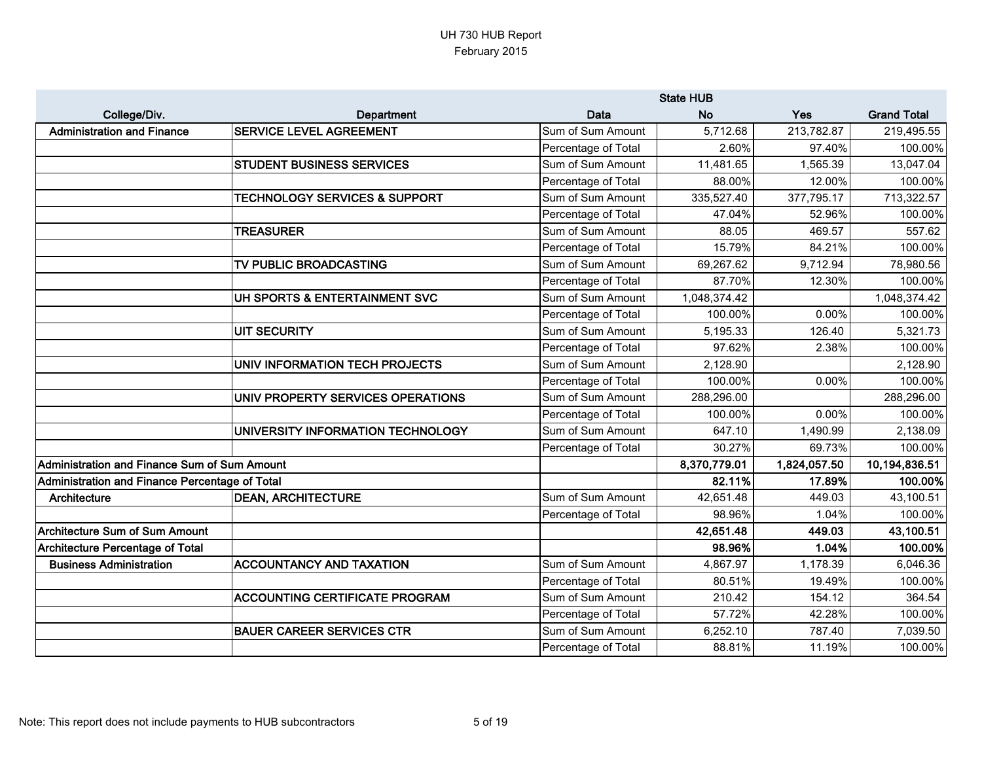|                                                |                                          |                     | <b>State HUB</b> |              |                    |
|------------------------------------------------|------------------------------------------|---------------------|------------------|--------------|--------------------|
| College/Div.                                   | Department                               | Data                | <b>No</b>        | Yes          | <b>Grand Total</b> |
| <b>Administration and Finance</b>              | <b>SERVICE LEVEL AGREEMENT</b>           | Sum of Sum Amount   | 5,712.68         | 213,782.87   | 219,495.55         |
|                                                |                                          | Percentage of Total | 2.60%            | 97.40%       | 100.00%            |
|                                                | <b>STUDENT BUSINESS SERVICES</b>         | Sum of Sum Amount   | 11,481.65        | 1,565.39     | 13,047.04          |
|                                                |                                          | Percentage of Total | 88.00%           | 12.00%       | 100.00%            |
|                                                | <b>TECHNOLOGY SERVICES &amp; SUPPORT</b> | Sum of Sum Amount   | 335,527.40       | 377,795.17   | 713,322.57         |
|                                                |                                          | Percentage of Total | 47.04%           | 52.96%       | 100.00%            |
|                                                | <b>TREASURER</b>                         | Sum of Sum Amount   | 88.05            | 469.57       | 557.62             |
|                                                |                                          | Percentage of Total | 15.79%           | 84.21%       | 100.00%            |
|                                                | TV PUBLIC BROADCASTING                   | Sum of Sum Amount   | 69,267.62        | 9,712.94     | 78,980.56          |
|                                                |                                          | Percentage of Total | 87.70%           | 12.30%       | 100.00%            |
|                                                | UH SPORTS & ENTERTAINMENT SVC            | Sum of Sum Amount   | 1,048,374.42     |              | 1,048,374.42       |
|                                                |                                          | Percentage of Total | 100.00%          | 0.00%        | 100.00%            |
|                                                | <b>UIT SECURITY</b>                      | Sum of Sum Amount   | 5,195.33         | 126.40       | 5,321.73           |
|                                                |                                          | Percentage of Total | 97.62%           | 2.38%        | 100.00%            |
|                                                | UNIV INFORMATION TECH PROJECTS           | Sum of Sum Amount   | 2,128.90         |              | 2,128.90           |
|                                                |                                          | Percentage of Total | 100.00%          | 0.00%        | 100.00%            |
|                                                | UNIV PROPERTY SERVICES OPERATIONS        | Sum of Sum Amount   | 288,296.00       |              | 288,296.00         |
|                                                |                                          | Percentage of Total | 100.00%          | 0.00%        | 100.00%            |
|                                                | UNIVERSITY INFORMATION TECHNOLOGY        | Sum of Sum Amount   | 647.10           | 1,490.99     | 2,138.09           |
|                                                |                                          | Percentage of Total | 30.27%           | 69.73%       | 100.00%            |
| Administration and Finance Sum of Sum Amount   |                                          |                     | 8,370,779.01     | 1,824,057.50 | 10,194,836.51      |
| Administration and Finance Percentage of Total |                                          |                     | 82.11%           | 17.89%       | 100.00%            |
| Architecture                                   | <b>DEAN, ARCHITECTURE</b>                | Sum of Sum Amount   | 42,651.48        | 449.03       | 43,100.51          |
|                                                |                                          | Percentage of Total | 98.96%           | 1.04%        | 100.00%            |
| <b>Architecture Sum of Sum Amount</b>          |                                          |                     | 42,651.48        | 449.03       | 43,100.51          |
| Architecture Percentage of Total               |                                          |                     | 98.96%           | 1.04%        | 100.00%            |
| <b>Business Administration</b>                 | <b>ACCOUNTANCY AND TAXATION</b>          | Sum of Sum Amount   | 4,867.97         | 1,178.39     | 6,046.36           |
|                                                |                                          | Percentage of Total | 80.51%           | 19.49%       | 100.00%            |
|                                                | <b>ACCOUNTING CERTIFICATE PROGRAM</b>    | Sum of Sum Amount   | 210.42           | 154.12       | 364.54             |
|                                                |                                          | Percentage of Total | 57.72%           | 42.28%       | 100.00%            |
|                                                | <b>BAUER CAREER SERVICES CTR</b>         | Sum of Sum Amount   | 6,252.10         | 787.40       | 7,039.50           |
|                                                |                                          | Percentage of Total | 88.81%           | 11.19%       | 100.00%            |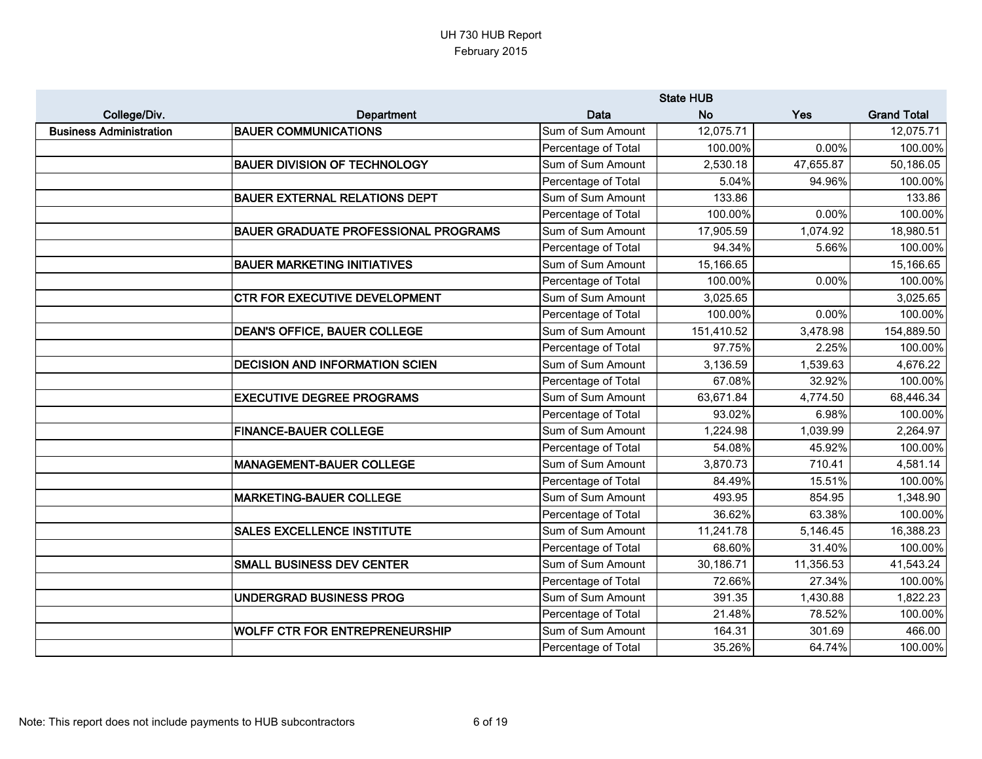|                                |                                             |                     | <b>State HUB</b> |           |                    |
|--------------------------------|---------------------------------------------|---------------------|------------------|-----------|--------------------|
| College/Div.                   | Department                                  | <b>Data</b>         | <b>No</b>        | Yes       | <b>Grand Total</b> |
| <b>Business Administration</b> | <b>BAUER COMMUNICATIONS</b>                 | Sum of Sum Amount   | 12,075.71        |           | 12,075.71          |
|                                |                                             | Percentage of Total | 100.00%          | 0.00%     | 100.00%            |
|                                | <b>BAUER DIVISION OF TECHNOLOGY</b>         | Sum of Sum Amount   | 2,530.18         | 47,655.87 | 50,186.05          |
|                                |                                             | Percentage of Total | 5.04%            | 94.96%    | 100.00%            |
|                                | <b>BAUER EXTERNAL RELATIONS DEPT</b>        | Sum of Sum Amount   | 133.86           |           | 133.86             |
|                                |                                             | Percentage of Total | 100.00%          | 0.00%     | 100.00%            |
|                                | <b>BAUER GRADUATE PROFESSIONAL PROGRAMS</b> | Sum of Sum Amount   | 17,905.59        | 1,074.92  | 18,980.51          |
|                                |                                             | Percentage of Total | 94.34%           | 5.66%     | 100.00%            |
|                                | <b>BAUER MARKETING INITIATIVES</b>          | Sum of Sum Amount   | 15,166.65        |           | 15,166.65          |
|                                |                                             | Percentage of Total | 100.00%          | 0.00%     | 100.00%            |
|                                | <b>CTR FOR EXECUTIVE DEVELOPMENT</b>        | Sum of Sum Amount   | 3,025.65         |           | 3,025.65           |
|                                |                                             | Percentage of Total | 100.00%          | 0.00%     | 100.00%            |
|                                | <b>DEAN'S OFFICE, BAUER COLLEGE</b>         | Sum of Sum Amount   | 151,410.52       | 3,478.98  | 154,889.50         |
|                                |                                             | Percentage of Total | 97.75%           | 2.25%     | 100.00%            |
|                                | <b>DECISION AND INFORMATION SCIEN</b>       | Sum of Sum Amount   | 3,136.59         | 1,539.63  | 4,676.22           |
|                                |                                             | Percentage of Total | 67.08%           | 32.92%    | 100.00%            |
|                                | <b>EXECUTIVE DEGREE PROGRAMS</b>            | Sum of Sum Amount   | 63,671.84        | 4,774.50  | 68,446.34          |
|                                |                                             | Percentage of Total | 93.02%           | 6.98%     | 100.00%            |
|                                | <b>FINANCE-BAUER COLLEGE</b>                | Sum of Sum Amount   | 1,224.98         | 1,039.99  | 2,264.97           |
|                                |                                             | Percentage of Total | 54.08%           | 45.92%    | 100.00%            |
|                                | <b>MANAGEMENT-BAUER COLLEGE</b>             | Sum of Sum Amount   | 3,870.73         | 710.41    | 4,581.14           |
|                                |                                             | Percentage of Total | 84.49%           | 15.51%    | 100.00%            |
|                                | <b>MARKETING-BAUER COLLEGE</b>              | Sum of Sum Amount   | 493.95           | 854.95    | 1,348.90           |
|                                |                                             | Percentage of Total | 36.62%           | 63.38%    | 100.00%            |
|                                | <b>SALES EXCELLENCE INSTITUTE</b>           | Sum of Sum Amount   | 11,241.78        | 5,146.45  | 16,388.23          |
|                                |                                             | Percentage of Total | 68.60%           | 31.40%    | 100.00%            |
|                                | <b>SMALL BUSINESS DEV CENTER</b>            | Sum of Sum Amount   | 30,186.71        | 11,356.53 | 41,543.24          |
|                                |                                             | Percentage of Total | 72.66%           | 27.34%    | 100.00%            |
|                                | <b>UNDERGRAD BUSINESS PROG</b>              | Sum of Sum Amount   | 391.35           | 1,430.88  | 1,822.23           |
|                                |                                             | Percentage of Total | 21.48%           | 78.52%    | 100.00%            |
|                                | <b>WOLFF CTR FOR ENTREPRENEURSHIP</b>       | Sum of Sum Amount   | 164.31           | 301.69    | 466.00             |
|                                |                                             | Percentage of Total | 35.26%           | 64.74%    | 100.00%            |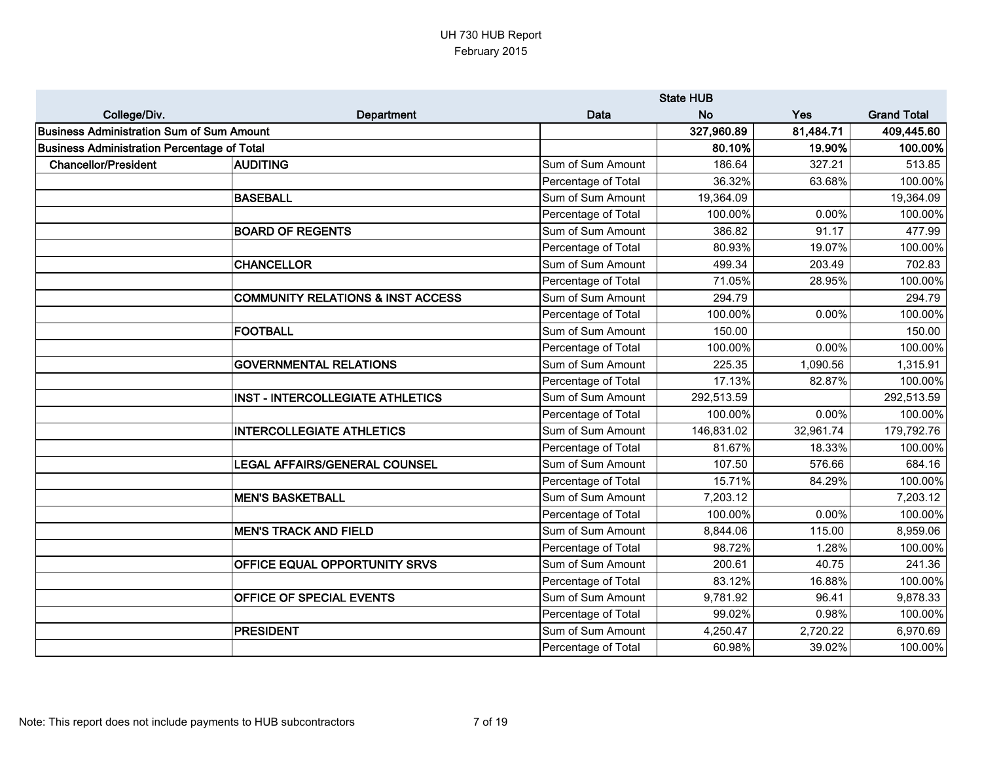|                                                    |                                              | <b>State HUB</b>    |            |           |                    |
|----------------------------------------------------|----------------------------------------------|---------------------|------------|-----------|--------------------|
| College/Div.                                       | Department                                   | <b>Data</b>         | <b>No</b>  | Yes       | <b>Grand Total</b> |
| <b>Business Administration Sum of Sum Amount</b>   |                                              |                     | 327,960.89 | 81,484.71 | 409,445.60         |
| <b>Business Administration Percentage of Total</b> |                                              |                     | 80.10%     | 19.90%    | 100.00%            |
| <b>Chancellor/President</b>                        | <b>AUDITING</b>                              | Sum of Sum Amount   | 186.64     | 327.21    | 513.85             |
|                                                    |                                              | Percentage of Total | 36.32%     | 63.68%    | 100.00%            |
|                                                    | <b>BASEBALL</b>                              | Sum of Sum Amount   | 19,364.09  |           | 19,364.09          |
|                                                    |                                              | Percentage of Total | 100.00%    | 0.00%     | 100.00%            |
|                                                    | <b>BOARD OF REGENTS</b>                      | Sum of Sum Amount   | 386.82     | 91.17     | 477.99             |
|                                                    |                                              | Percentage of Total | 80.93%     | 19.07%    | 100.00%            |
|                                                    | <b>CHANCELLOR</b>                            | Sum of Sum Amount   | 499.34     | 203.49    | 702.83             |
|                                                    |                                              | Percentage of Total | 71.05%     | 28.95%    | 100.00%            |
|                                                    | <b>COMMUNITY RELATIONS &amp; INST ACCESS</b> | Sum of Sum Amount   | 294.79     |           | 294.79             |
|                                                    |                                              | Percentage of Total | 100.00%    | 0.00%     | 100.00%            |
|                                                    | <b>FOOTBALL</b>                              | Sum of Sum Amount   | 150.00     |           | 150.00             |
|                                                    |                                              | Percentage of Total | 100.00%    | 0.00%     | 100.00%            |
|                                                    | <b>GOVERNMENTAL RELATIONS</b>                | Sum of Sum Amount   | 225.35     | 1,090.56  | 1,315.91           |
|                                                    |                                              | Percentage of Total | 17.13%     | 82.87%    | 100.00%            |
|                                                    | <b>INST - INTERCOLLEGIATE ATHLETICS</b>      | Sum of Sum Amount   | 292,513.59 |           | 292,513.59         |
|                                                    |                                              | Percentage of Total | 100.00%    | 0.00%     | 100.00%            |
|                                                    | <b>INTERCOLLEGIATE ATHLETICS</b>             | Sum of Sum Amount   | 146,831.02 | 32,961.74 | 179,792.76         |
|                                                    |                                              | Percentage of Total | 81.67%     | 18.33%    | 100.00%            |
|                                                    | <b>LEGAL AFFAIRS/GENERAL COUNSEL</b>         | Sum of Sum Amount   | 107.50     | 576.66    | 684.16             |
|                                                    |                                              | Percentage of Total | 15.71%     | 84.29%    | 100.00%            |
|                                                    | <b>MEN'S BASKETBALL</b>                      | Sum of Sum Amount   | 7,203.12   |           | 7,203.12           |
|                                                    |                                              | Percentage of Total | 100.00%    | 0.00%     | 100.00%            |
|                                                    | <b>MEN'S TRACK AND FIELD</b>                 | Sum of Sum Amount   | 8,844.06   | 115.00    | 8,959.06           |
|                                                    |                                              | Percentage of Total | 98.72%     | 1.28%     | 100.00%            |
|                                                    | OFFICE EQUAL OPPORTUNITY SRVS                | Sum of Sum Amount   | 200.61     | 40.75     | 241.36             |
|                                                    |                                              | Percentage of Total | 83.12%     | 16.88%    | 100.00%            |
|                                                    | OFFICE OF SPECIAL EVENTS                     | Sum of Sum Amount   | 9,781.92   | 96.41     | 9,878.33           |
|                                                    |                                              | Percentage of Total | 99.02%     | 0.98%     | 100.00%            |
|                                                    | <b>PRESIDENT</b>                             | Sum of Sum Amount   | 4,250.47   | 2,720.22  | 6,970.69           |
|                                                    |                                              | Percentage of Total | 60.98%     | 39.02%    | 100.00%            |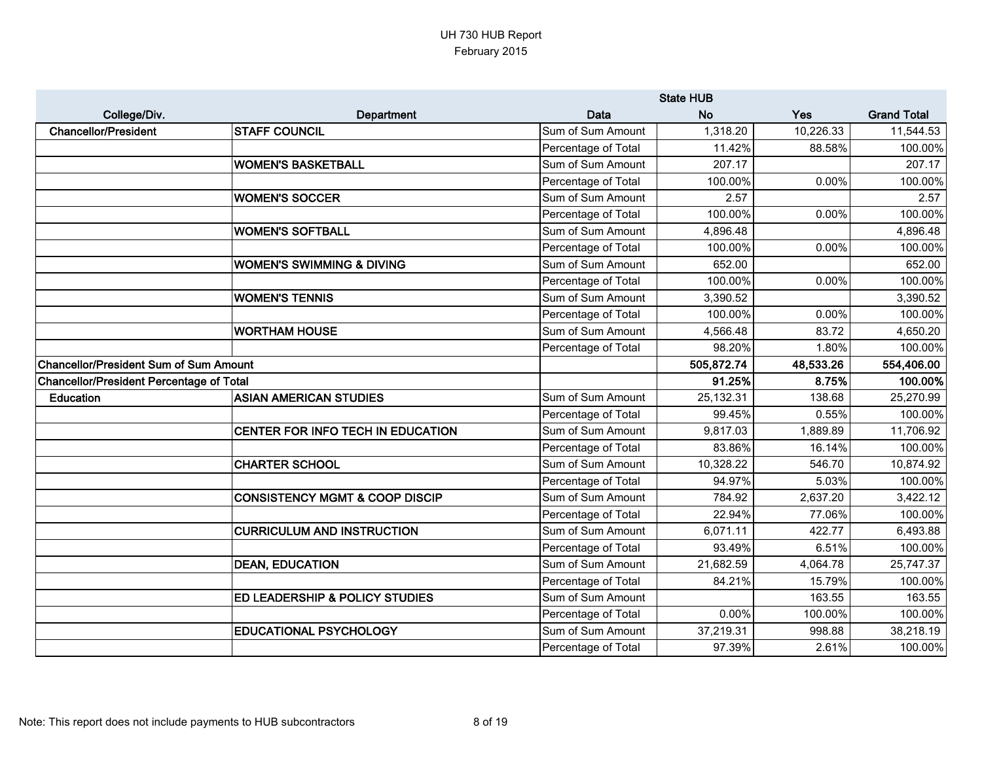|                                                 |                                           |                     | <b>State HUB</b> |           |                    |
|-------------------------------------------------|-------------------------------------------|---------------------|------------------|-----------|--------------------|
| College/Div.                                    | Department                                | Data                | <b>No</b>        | Yes       | <b>Grand Total</b> |
| <b>Chancellor/President</b>                     | <b>STAFF COUNCIL</b>                      | Sum of Sum Amount   | 1,318.20         | 10,226.33 | 11,544.53          |
|                                                 |                                           | Percentage of Total | 11.42%           | 88.58%    | 100.00%            |
|                                                 | <b>WOMEN'S BASKETBALL</b>                 | Sum of Sum Amount   | 207.17           |           | 207.17             |
|                                                 |                                           | Percentage of Total | 100.00%          | 0.00%     | 100.00%            |
|                                                 | <b>WOMEN'S SOCCER</b>                     | Sum of Sum Amount   | 2.57             |           | 2.57               |
|                                                 |                                           | Percentage of Total | 100.00%          | 0.00%     | 100.00%            |
|                                                 | <b>WOMEN'S SOFTBALL</b>                   | Sum of Sum Amount   | 4,896.48         |           | 4,896.48           |
|                                                 |                                           | Percentage of Total | 100.00%          | 0.00%     | 100.00%            |
|                                                 | <b>WOMEN'S SWIMMING &amp; DIVING</b>      | Sum of Sum Amount   | 652.00           |           | 652.00             |
|                                                 |                                           | Percentage of Total | 100.00%          | 0.00%     | 100.00%            |
|                                                 | <b>WOMEN'S TENNIS</b>                     | Sum of Sum Amount   | 3,390.52         |           | 3,390.52           |
|                                                 |                                           | Percentage of Total | 100.00%          | 0.00%     | 100.00%            |
|                                                 | <b>WORTHAM HOUSE</b>                      | Sum of Sum Amount   | 4,566.48         | 83.72     | 4,650.20           |
|                                                 |                                           | Percentage of Total | 98.20%           | 1.80%     | 100.00%            |
| <b>Chancellor/President Sum of Sum Amount</b>   |                                           |                     | 505,872.74       | 48,533.26 | 554,406.00         |
| <b>Chancellor/President Percentage of Total</b> |                                           |                     | 91.25%           | 8.75%     | 100.00%            |
| <b>Education</b>                                | <b>ASIAN AMERICAN STUDIES</b>             | Sum of Sum Amount   | 25,132.31        | 138.68    | 25,270.99          |
|                                                 |                                           | Percentage of Total | 99.45%           | 0.55%     | 100.00%            |
|                                                 | CENTER FOR INFO TECH IN EDUCATION         | Sum of Sum Amount   | 9,817.03         | 1,889.89  | 11,706.92          |
|                                                 |                                           | Percentage of Total | 83.86%           | 16.14%    | 100.00%            |
|                                                 | <b>CHARTER SCHOOL</b>                     | Sum of Sum Amount   | 10,328.22        | 546.70    | 10,874.92          |
|                                                 |                                           | Percentage of Total | 94.97%           | 5.03%     | 100.00%            |
|                                                 | <b>CONSISTENCY MGMT &amp; COOP DISCIP</b> | Sum of Sum Amount   | 784.92           | 2,637.20  | 3,422.12           |
|                                                 |                                           | Percentage of Total | 22.94%           | 77.06%    | 100.00%            |
|                                                 | <b>CURRICULUM AND INSTRUCTION</b>         | Sum of Sum Amount   | 6,071.11         | 422.77    | 6,493.88           |
|                                                 |                                           | Percentage of Total | 93.49%           | 6.51%     | 100.00%            |
|                                                 | <b>DEAN, EDUCATION</b>                    | Sum of Sum Amount   | 21,682.59        | 4,064.78  | 25,747.37          |
|                                                 |                                           | Percentage of Total | 84.21%           | 15.79%    | 100.00%            |
|                                                 | ED LEADERSHIP & POLICY STUDIES            | Sum of Sum Amount   |                  | 163.55    | 163.55             |
|                                                 |                                           | Percentage of Total | 0.00%            | 100.00%   | 100.00%            |
|                                                 | <b>EDUCATIONAL PSYCHOLOGY</b>             | Sum of Sum Amount   | 37,219.31        | 998.88    | 38,218.19          |
|                                                 |                                           | Percentage of Total | 97.39%           | 2.61%     | 100.00%            |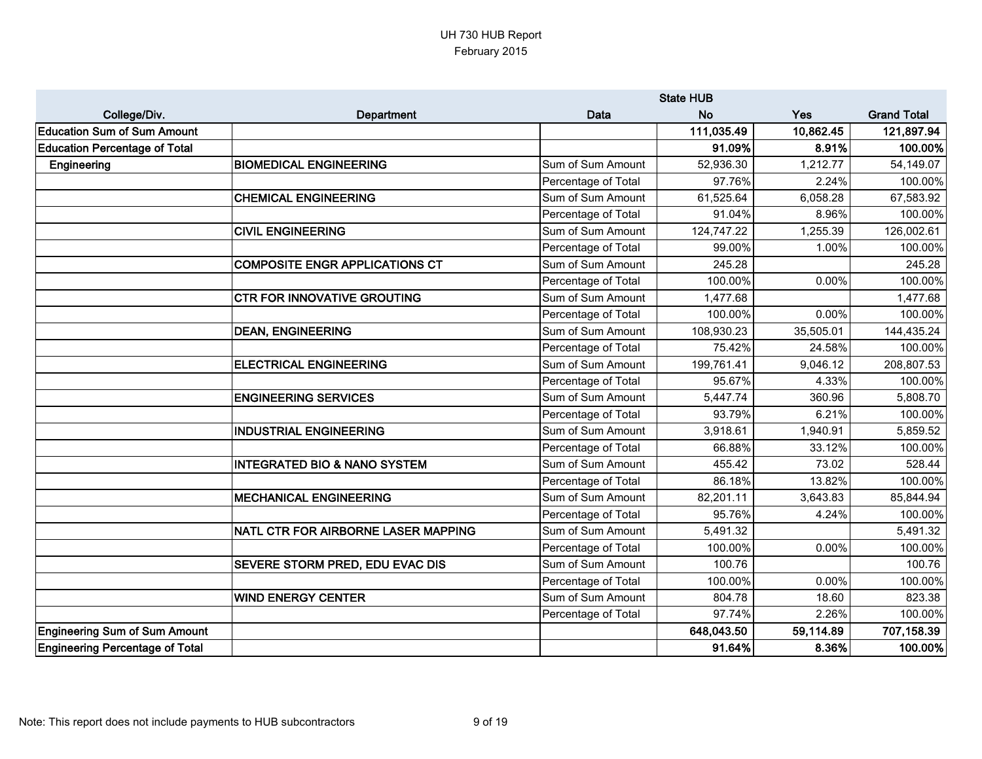|                                      |                                         |                     | <b>State HUB</b>       |           |                    |
|--------------------------------------|-----------------------------------------|---------------------|------------------------|-----------|--------------------|
| College/Div.                         | Department                              | <b>Data</b>         | <b>No</b>              | Yes       | <b>Grand Total</b> |
| <b>Education Sum of Sum Amount</b>   |                                         |                     | 111,035.49             | 10,862.45 | 121,897.94         |
| <b>Education Percentage of Total</b> |                                         |                     | 91.09%                 | 8.91%     | 100.00%            |
| Engineering                          | <b>BIOMEDICAL ENGINEERING</b>           | Sum of Sum Amount   | $\overline{52,936.30}$ | 1,212.77  | 54,149.07          |
|                                      |                                         | Percentage of Total | 97.76%                 | 2.24%     | 100.00%            |
|                                      | <b>CHEMICAL ENGINEERING</b>             | Sum of Sum Amount   | 61,525.64              | 6,058.28  | 67,583.92          |
|                                      |                                         | Percentage of Total | 91.04%                 | 8.96%     | 100.00%            |
|                                      | <b>CIVIL ENGINEERING</b>                | Sum of Sum Amount   | 124,747.22             | 1,255.39  | 126,002.61         |
|                                      |                                         | Percentage of Total | 99.00%                 | 1.00%     | 100.00%            |
|                                      | <b>COMPOSITE ENGR APPLICATIONS CT</b>   | Sum of Sum Amount   | 245.28                 |           | 245.28             |
|                                      |                                         | Percentage of Total | 100.00%                | 0.00%     | 100.00%            |
|                                      | <b>CTR FOR INNOVATIVE GROUTING</b>      | Sum of Sum Amount   | 1,477.68               |           | 1,477.68           |
|                                      |                                         | Percentage of Total | 100.00%                | 0.00%     | 100.00%            |
|                                      | <b>DEAN, ENGINEERING</b>                | Sum of Sum Amount   | 108,930.23             | 35,505.01 | 144,435.24         |
|                                      |                                         | Percentage of Total | 75.42%                 | 24.58%    | 100.00%            |
|                                      | <b>ELECTRICAL ENGINEERING</b>           | Sum of Sum Amount   | 199,761.41             | 9,046.12  | 208,807.53         |
|                                      |                                         | Percentage of Total | 95.67%                 | 4.33%     | 100.00%            |
|                                      | <b>ENGINEERING SERVICES</b>             | Sum of Sum Amount   | 5,447.74               | 360.96    | 5,808.70           |
|                                      |                                         | Percentage of Total | 93.79%                 | 6.21%     | 100.00%            |
|                                      | <b>INDUSTRIAL ENGINEERING</b>           | Sum of Sum Amount   | 3,918.61               | 1,940.91  | 5,859.52           |
|                                      |                                         | Percentage of Total | 66.88%                 | 33.12%    | 100.00%            |
|                                      | <b>INTEGRATED BIO &amp; NANO SYSTEM</b> | Sum of Sum Amount   | 455.42                 | 73.02     | 528.44             |
|                                      |                                         | Percentage of Total | 86.18%                 | 13.82%    | 100.00%            |
|                                      | <b>MECHANICAL ENGINEERING</b>           | Sum of Sum Amount   | 82,201.11              | 3,643.83  | 85,844.94          |
|                                      |                                         | Percentage of Total | 95.76%                 | 4.24%     | 100.00%            |
|                                      | NATL CTR FOR AIRBORNE LASER MAPPING     | Sum of Sum Amount   | 5,491.32               |           | 5,491.32           |
|                                      |                                         | Percentage of Total | 100.00%                | 0.00%     | 100.00%            |
|                                      | SEVERE STORM PRED, EDU EVAC DIS         | Sum of Sum Amount   | 100.76                 |           | 100.76             |
|                                      |                                         | Percentage of Total | 100.00%                | 0.00%     | 100.00%            |
|                                      | <b>WIND ENERGY CENTER</b>               | Sum of Sum Amount   | 804.78                 | 18.60     | 823.38             |
|                                      |                                         | Percentage of Total | 97.74%                 | 2.26%     | 100.00%            |
| <b>Engineering Sum of Sum Amount</b> |                                         |                     | 648,043.50             | 59,114.89 | 707,158.39         |
| Engineering Percentage of Total      |                                         |                     | 91.64%                 | 8.36%     | 100.00%            |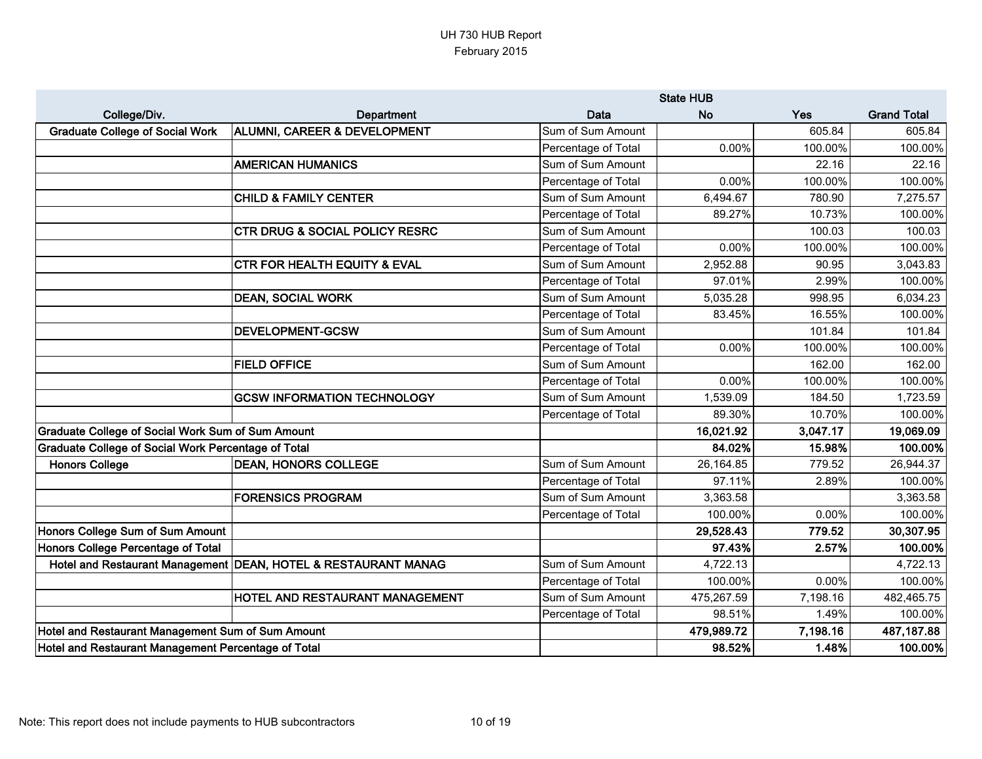|                                                            |                                                                  |                     | <b>State HUB</b> |          |                    |
|------------------------------------------------------------|------------------------------------------------------------------|---------------------|------------------|----------|--------------------|
| College/Div.                                               | Department                                                       | Data                | <b>No</b>        | Yes      | <b>Grand Total</b> |
| <b>Graduate College of Social Work</b>                     | <b>ALUMNI, CAREER &amp; DEVELOPMENT</b>                          | Sum of Sum Amount   |                  | 605.84   | 605.84             |
|                                                            |                                                                  | Percentage of Total | 0.00%            | 100.00%  | 100.00%            |
|                                                            | <b>AMERICAN HUMANICS</b>                                         | Sum of Sum Amount   |                  | 22.16    | 22.16              |
|                                                            |                                                                  | Percentage of Total | 0.00%            | 100.00%  | 100.00%            |
|                                                            | <b>CHILD &amp; FAMILY CENTER</b>                                 | Sum of Sum Amount   | 6,494.67         | 780.90   | 7,275.57           |
|                                                            |                                                                  | Percentage of Total | 89.27%           | 10.73%   | 100.00%            |
|                                                            | <b>CTR DRUG &amp; SOCIAL POLICY RESRC</b>                        | Sum of Sum Amount   |                  | 100.03   | 100.03             |
|                                                            |                                                                  | Percentage of Total | 0.00%            | 100.00%  | 100.00%            |
|                                                            | <b>CTR FOR HEALTH EQUITY &amp; EVAL</b>                          | Sum of Sum Amount   | 2,952.88         | 90.95    | 3,043.83           |
|                                                            |                                                                  | Percentage of Total | 97.01%           | 2.99%    | 100.00%            |
|                                                            | <b>DEAN, SOCIAL WORK</b>                                         | Sum of Sum Amount   | 5,035.28         | 998.95   | 6,034.23           |
|                                                            |                                                                  | Percentage of Total | 83.45%           | 16.55%   | 100.00%            |
|                                                            | <b>DEVELOPMENT-GCSW</b>                                          | Sum of Sum Amount   |                  | 101.84   | 101.84             |
|                                                            |                                                                  | Percentage of Total | 0.00%            | 100.00%  | 100.00%            |
|                                                            | <b>FIELD OFFICE</b>                                              | Sum of Sum Amount   |                  | 162.00   | 162.00             |
|                                                            |                                                                  | Percentage of Total | 0.00%            | 100.00%  | 100.00%            |
|                                                            | <b>GCSW INFORMATION TECHNOLOGY</b>                               | Sum of Sum Amount   | 1,539.09         | 184.50   | 1,723.59           |
|                                                            |                                                                  | Percentage of Total | 89.30%           | 10.70%   | 100.00%            |
| <b>Graduate College of Social Work Sum of Sum Amount</b>   |                                                                  |                     | 16,021.92        | 3,047.17 | 19,069.09          |
| <b>Graduate College of Social Work Percentage of Total</b> |                                                                  |                     | 84.02%           | 15.98%   | 100.00%            |
| <b>Honors College</b>                                      | <b>DEAN, HONORS COLLEGE</b>                                      | Sum of Sum Amount   | 26,164.85        | 779.52   | 26,944.37          |
|                                                            |                                                                  | Percentage of Total | 97.11%           | 2.89%    | 100.00%            |
|                                                            | <b>FORENSICS PROGRAM</b>                                         | Sum of Sum Amount   | 3,363.58         |          | 3,363.58           |
|                                                            |                                                                  | Percentage of Total | 100.00%          | 0.00%    | 100.00%            |
| Honors College Sum of Sum Amount                           |                                                                  |                     | 29,528.43        | 779.52   | 30,307.95          |
| Honors College Percentage of Total                         |                                                                  |                     | 97.43%           | 2.57%    | 100.00%            |
|                                                            | Hotel and Restaurant Management   DEAN, HOTEL & RESTAURANT MANAG | Sum of Sum Amount   | 4,722.13         |          | 4,722.13           |
|                                                            |                                                                  | Percentage of Total | 100.00%          | 0.00%    | 100.00%            |
|                                                            | HOTEL AND RESTAURANT MANAGEMENT                                  | Sum of Sum Amount   | 475,267.59       | 7,198.16 | 482,465.75         |
|                                                            |                                                                  | Percentage of Total | 98.51%           | 1.49%    | 100.00%            |
| Hotel and Restaurant Management Sum of Sum Amount          |                                                                  |                     | 479,989.72       | 7,198.16 | 487, 187.88        |
| Hotel and Restaurant Management Percentage of Total        |                                                                  |                     | 98.52%           | 1.48%    | 100.00%            |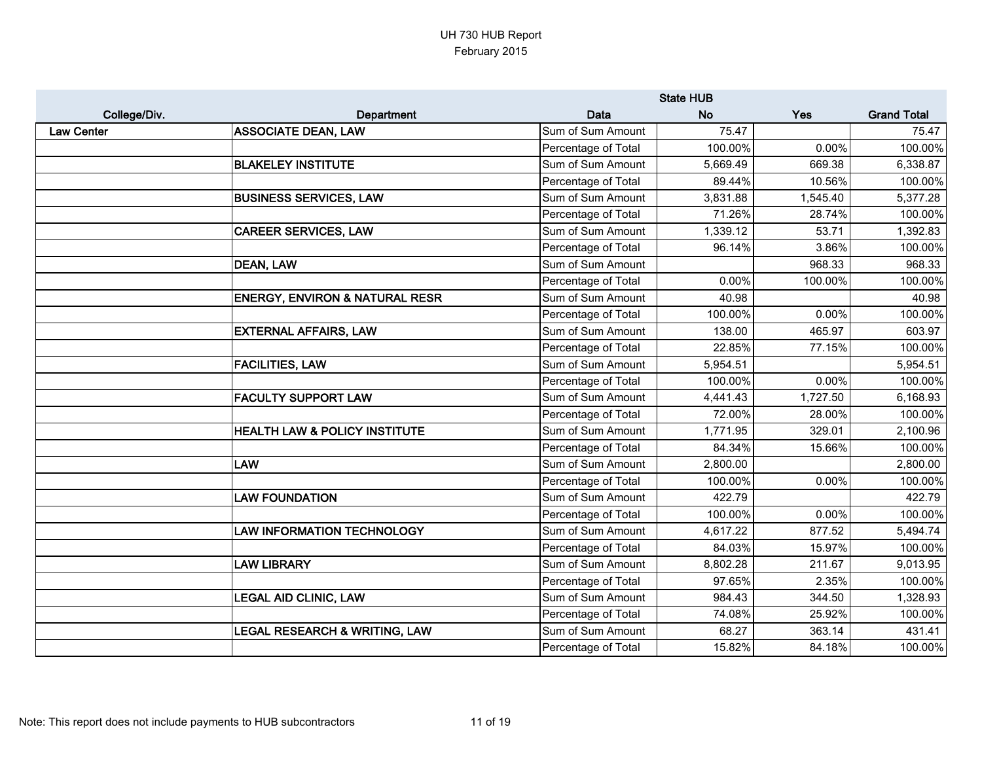|                   |                                           |                     | <b>State HUB</b> |            |                    |
|-------------------|-------------------------------------------|---------------------|------------------|------------|--------------------|
| College/Div.      | Department                                | Data                | <b>No</b>        | <b>Yes</b> | <b>Grand Total</b> |
| <b>Law Center</b> | <b>ASSOCIATE DEAN, LAW</b>                | Sum of Sum Amount   | 75.47            |            | 75.47              |
|                   |                                           | Percentage of Total | 100.00%          | 0.00%      | 100.00%            |
|                   | <b>BLAKELEY INSTITUTE</b>                 | Sum of Sum Amount   | 5,669.49         | 669.38     | 6,338.87           |
|                   |                                           | Percentage of Total | 89.44%           | 10.56%     | 100.00%            |
|                   | <b>BUSINESS SERVICES, LAW</b>             | Sum of Sum Amount   | 3,831.88         | 1,545.40   | 5,377.28           |
|                   |                                           | Percentage of Total | 71.26%           | 28.74%     | 100.00%            |
|                   | <b>CAREER SERVICES, LAW</b>               | Sum of Sum Amount   | 1,339.12         | 53.71      | 1,392.83           |
|                   |                                           | Percentage of Total | 96.14%           | 3.86%      | 100.00%            |
|                   | <b>DEAN, LAW</b>                          | Sum of Sum Amount   |                  | 968.33     | 968.33             |
|                   |                                           | Percentage of Total | 0.00%            | 100.00%    | 100.00%            |
|                   | <b>ENERGY, ENVIRON &amp; NATURAL RESR</b> | Sum of Sum Amount   | 40.98            |            | 40.98              |
|                   |                                           | Percentage of Total | 100.00%          | 0.00%      | 100.00%            |
|                   | <b>EXTERNAL AFFAIRS, LAW</b>              | Sum of Sum Amount   | 138.00           | 465.97     | 603.97             |
|                   |                                           | Percentage of Total | 22.85%           | 77.15%     | 100.00%            |
|                   | <b>FACILITIES, LAW</b>                    | Sum of Sum Amount   | 5,954.51         |            | 5,954.51           |
|                   |                                           | Percentage of Total | 100.00%          | 0.00%      | 100.00%            |
|                   | <b>FACULTY SUPPORT LAW</b>                | Sum of Sum Amount   | 4,441.43         | 1,727.50   | 6,168.93           |
|                   |                                           | Percentage of Total | 72.00%           | 28.00%     | 100.00%            |
|                   | HEALTH LAW & POLICY INSTITUTE             | Sum of Sum Amount   | 1,771.95         | 329.01     | 2,100.96           |
|                   |                                           | Percentage of Total | 84.34%           | 15.66%     | 100.00%            |
|                   | <b>LAW</b>                                | Sum of Sum Amount   | 2,800.00         |            | 2,800.00           |
|                   |                                           | Percentage of Total | 100.00%          | 0.00%      | 100.00%            |
|                   | <b>LAW FOUNDATION</b>                     | Sum of Sum Amount   | 422.79           |            | 422.79             |
|                   |                                           | Percentage of Total | 100.00%          | 0.00%      | 100.00%            |
|                   | <b>LAW INFORMATION TECHNOLOGY</b>         | Sum of Sum Amount   | 4,617.22         | 877.52     | 5,494.74           |
|                   |                                           | Percentage of Total | 84.03%           | 15.97%     | 100.00%            |
|                   | <b>LAW LIBRARY</b>                        | Sum of Sum Amount   | 8,802.28         | 211.67     | 9,013.95           |
|                   |                                           | Percentage of Total | 97.65%           | 2.35%      | 100.00%            |
|                   | <b>LEGAL AID CLINIC, LAW</b>              | Sum of Sum Amount   | 984.43           | 344.50     | 1,328.93           |
|                   |                                           | Percentage of Total | 74.08%           | 25.92%     | 100.00%            |
|                   | <b>LEGAL RESEARCH &amp; WRITING, LAW</b>  | Sum of Sum Amount   | 68.27            | 363.14     | 431.41             |
|                   |                                           | Percentage of Total | 15.82%           | 84.18%     | 100.00%            |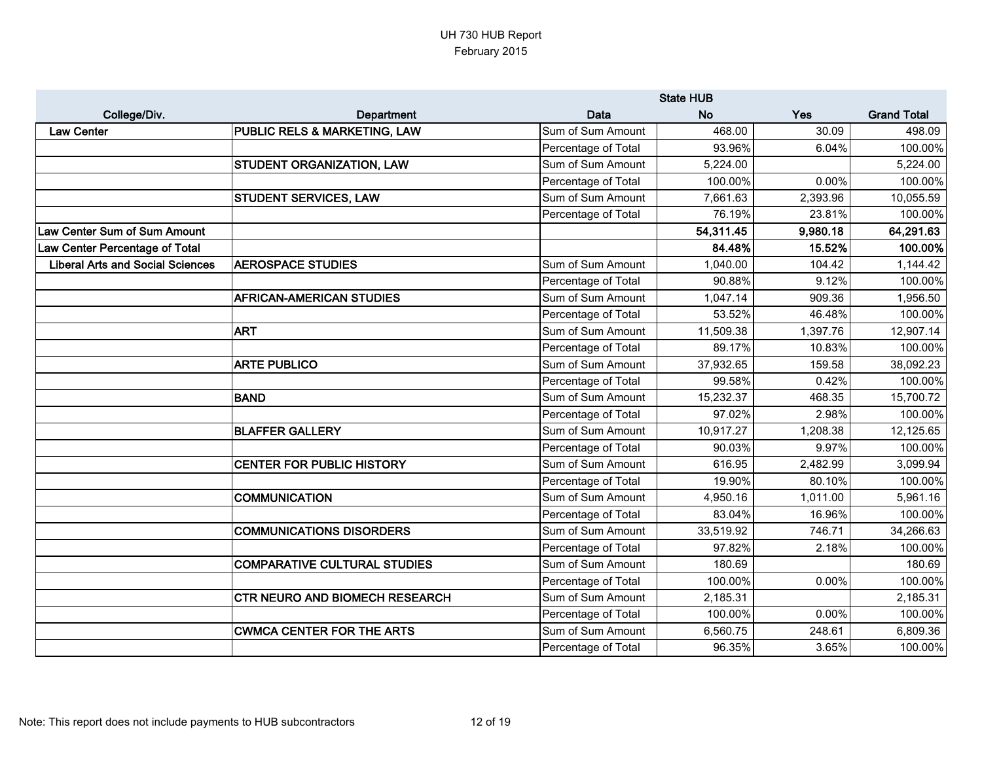|                                         |                                         | <b>State HUB</b>    |           |            |                    |
|-----------------------------------------|-----------------------------------------|---------------------|-----------|------------|--------------------|
| College/Div.                            | Department                              | <b>Data</b>         | <b>No</b> | <b>Yes</b> | <b>Grand Total</b> |
| <b>Law Center</b>                       | <b>PUBLIC RELS &amp; MARKETING, LAW</b> | Sum of Sum Amount   | 468.00    | 30.09      | 498.09             |
|                                         |                                         | Percentage of Total | 93.96%    | 6.04%      | 100.00%            |
|                                         | <b>STUDENT ORGANIZATION, LAW</b>        | Sum of Sum Amount   | 5,224.00  |            | 5,224.00           |
|                                         |                                         | Percentage of Total | 100.00%   | 0.00%      | 100.00%            |
|                                         | STUDENT SERVICES, LAW                   | Sum of Sum Amount   | 7,661.63  | 2,393.96   | 10,055.59          |
|                                         |                                         | Percentage of Total | 76.19%    | 23.81%     | 100.00%            |
| Law Center Sum of Sum Amount            |                                         |                     | 54,311.45 | 9,980.18   | 64,291.63          |
| <b>Law Center Percentage of Total</b>   |                                         |                     | 84.48%    | 15.52%     | 100.00%            |
| <b>Liberal Arts and Social Sciences</b> | <b>AEROSPACE STUDIES</b>                | Sum of Sum Amount   | 1,040.00  | 104.42     | 1,144.42           |
|                                         |                                         | Percentage of Total | 90.88%    | 9.12%      | 100.00%            |
|                                         | <b>AFRICAN-AMERICAN STUDIES</b>         | Sum of Sum Amount   | 1,047.14  | 909.36     | 1,956.50           |
|                                         |                                         | Percentage of Total | 53.52%    | 46.48%     | 100.00%            |
|                                         | <b>ART</b>                              | Sum of Sum Amount   | 11,509.38 | 1,397.76   | 12,907.14          |
|                                         |                                         | Percentage of Total | 89.17%    | 10.83%     | 100.00%            |
|                                         | <b>ARTE PUBLICO</b>                     | Sum of Sum Amount   | 37,932.65 | 159.58     | 38,092.23          |
|                                         |                                         | Percentage of Total | 99.58%    | 0.42%      | 100.00%            |
|                                         | BAND                                    | Sum of Sum Amount   | 15,232.37 | 468.35     | 15,700.72          |
|                                         |                                         | Percentage of Total | 97.02%    | 2.98%      | 100.00%            |
|                                         | <b>BLAFFER GALLERY</b>                  | Sum of Sum Amount   | 10,917.27 | 1,208.38   | 12,125.65          |
|                                         |                                         | Percentage of Total | 90.03%    | 9.97%      | 100.00%            |
|                                         | <b>CENTER FOR PUBLIC HISTORY</b>        | Sum of Sum Amount   | 616.95    | 2,482.99   | 3,099.94           |
|                                         |                                         | Percentage of Total | 19.90%    | 80.10%     | 100.00%            |
|                                         | <b>COMMUNICATION</b>                    | Sum of Sum Amount   | 4,950.16  | 1,011.00   | 5,961.16           |
|                                         |                                         | Percentage of Total | 83.04%    | 16.96%     | 100.00%            |
|                                         | <b>COMMUNICATIONS DISORDERS</b>         | Sum of Sum Amount   | 33,519.92 | 746.71     | 34,266.63          |
|                                         |                                         | Percentage of Total | 97.82%    | 2.18%      | 100.00%            |
|                                         | <b>COMPARATIVE CULTURAL STUDIES</b>     | Sum of Sum Amount   | 180.69    |            | 180.69             |
|                                         |                                         | Percentage of Total | 100.00%   | 0.00%      | 100.00%            |
|                                         | <b>CTR NEURO AND BIOMECH RESEARCH</b>   | Sum of Sum Amount   | 2,185.31  |            | 2,185.31           |
|                                         |                                         | Percentage of Total | 100.00%   | 0.00%      | 100.00%            |
|                                         | <b>CWMCA CENTER FOR THE ARTS</b>        | Sum of Sum Amount   | 6,560.75  | 248.61     | 6,809.36           |
|                                         |                                         | Percentage of Total | 96.35%    | 3.65%      | 100.00%            |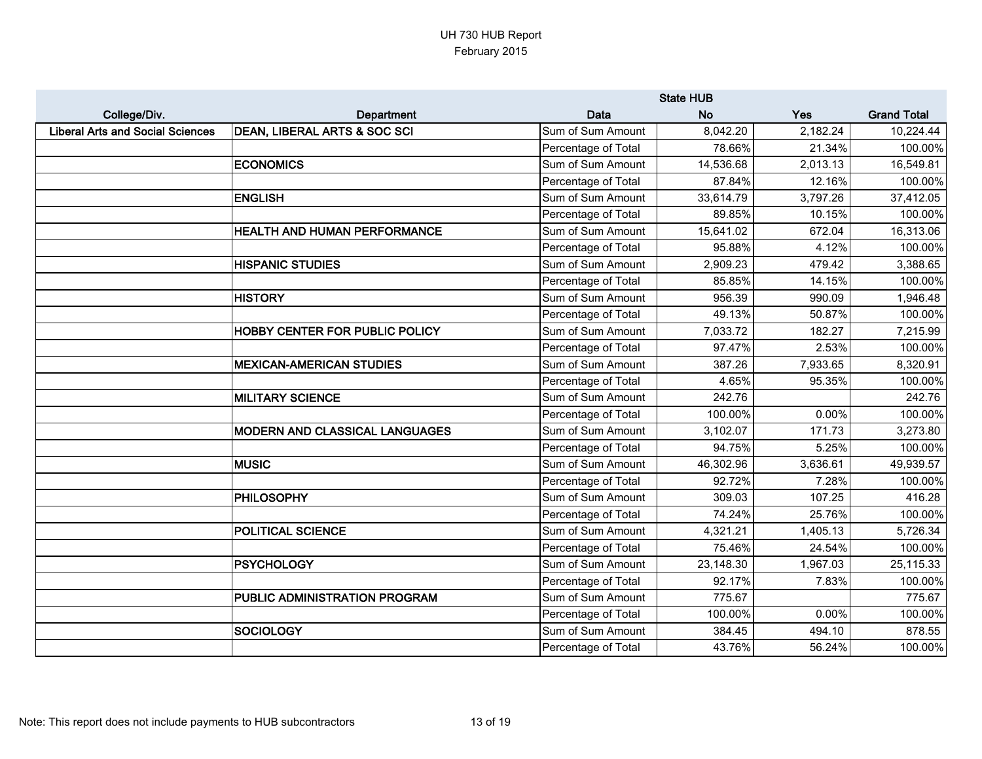|                                         |                                 | <b>State HUB</b>    |           |          |                    |
|-----------------------------------------|---------------------------------|---------------------|-----------|----------|--------------------|
| College/Div.                            | Department                      | Data                | No.       | Yes      | <b>Grand Total</b> |
| <b>Liberal Arts and Social Sciences</b> | DEAN, LIBERAL ARTS & SOC SCI    | Sum of Sum Amount   | 8,042.20  | 2,182.24 | 10,224.44          |
|                                         |                                 | Percentage of Total | 78.66%    | 21.34%   | 100.00%            |
|                                         | <b>ECONOMICS</b>                | Sum of Sum Amount   | 14,536.68 | 2,013.13 | 16,549.81          |
|                                         |                                 | Percentage of Total | 87.84%    | 12.16%   | 100.00%            |
|                                         | <b>ENGLISH</b>                  | Sum of Sum Amount   | 33,614.79 | 3,797.26 | 37,412.05          |
|                                         |                                 | Percentage of Total | 89.85%    | 10.15%   | 100.00%            |
|                                         | HEALTH AND HUMAN PERFORMANCE    | Sum of Sum Amount   | 15,641.02 | 672.04   | 16,313.06          |
|                                         |                                 | Percentage of Total | 95.88%    | 4.12%    | 100.00%            |
|                                         | <b>HISPANIC STUDIES</b>         | Sum of Sum Amount   | 2,909.23  | 479.42   | 3,388.65           |
|                                         |                                 | Percentage of Total | 85.85%    | 14.15%   | 100.00%            |
|                                         | <b>HISTORY</b>                  | Sum of Sum Amount   | 956.39    | 990.09   | 1,946.48           |
|                                         |                                 | Percentage of Total | 49.13%    | 50.87%   | 100.00%            |
|                                         | HOBBY CENTER FOR PUBLIC POLICY  | Sum of Sum Amount   | 7,033.72  | 182.27   | 7,215.99           |
|                                         |                                 | Percentage of Total | 97.47%    | 2.53%    | 100.00%            |
|                                         | <b>MEXICAN-AMERICAN STUDIES</b> | Sum of Sum Amount   | 387.26    | 7,933.65 | 8,320.91           |
|                                         |                                 | Percentage of Total | 4.65%     | 95.35%   | 100.00%            |
|                                         | <b>MILITARY SCIENCE</b>         | Sum of Sum Amount   | 242.76    |          | 242.76             |
|                                         |                                 | Percentage of Total | 100.00%   | 0.00%    | 100.00%            |
|                                         | MODERN AND CLASSICAL LANGUAGES  | Sum of Sum Amount   | 3,102.07  | 171.73   | 3,273.80           |
|                                         |                                 | Percentage of Total | 94.75%    | 5.25%    | 100.00%            |
|                                         | <b>MUSIC</b>                    | Sum of Sum Amount   | 46,302.96 | 3,636.61 | 49,939.57          |
|                                         |                                 | Percentage of Total | 92.72%    | 7.28%    | 100.00%            |
|                                         | <b>PHILOSOPHY</b>               | Sum of Sum Amount   | 309.03    | 107.25   | 416.28             |
|                                         |                                 | Percentage of Total | 74.24%    | 25.76%   | 100.00%            |
|                                         | POLITICAL SCIENCE               | Sum of Sum Amount   | 4,321.21  | 1,405.13 | 5,726.34           |
|                                         |                                 | Percentage of Total | 75.46%    | 24.54%   | 100.00%            |
|                                         | <b>PSYCHOLOGY</b>               | Sum of Sum Amount   | 23,148.30 | 1,967.03 | 25,115.33          |
|                                         |                                 | Percentage of Total | 92.17%    | 7.83%    | 100.00%            |
|                                         | PUBLIC ADMINISTRATION PROGRAM   | Sum of Sum Amount   | 775.67    |          | 775.67             |
|                                         |                                 | Percentage of Total | 100.00%   | 0.00%    | 100.00%            |
|                                         | <b>SOCIOLOGY</b>                | Sum of Sum Amount   | 384.45    | 494.10   | 878.55             |
|                                         |                                 | Percentage of Total | 43.76%    | 56.24%   | 100.00%            |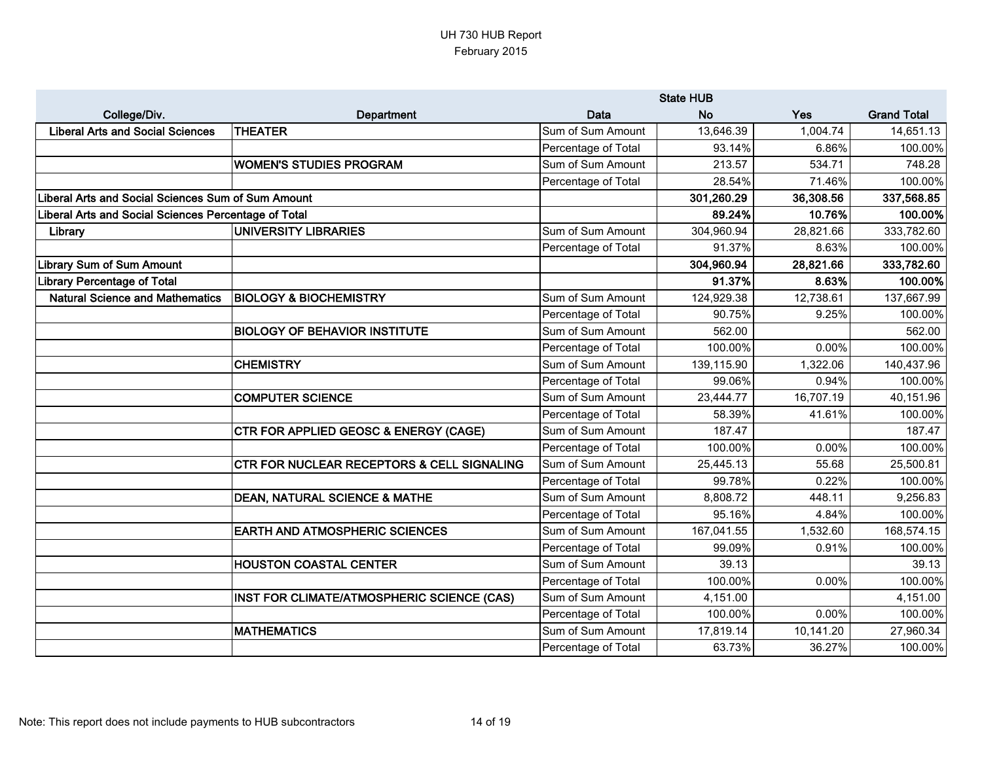|                                                      |                                            | <b>State HUB</b>    |            |           |                    |
|------------------------------------------------------|--------------------------------------------|---------------------|------------|-----------|--------------------|
| College/Div.                                         | Department                                 | <b>Data</b>         | <b>No</b>  | Yes       | <b>Grand Total</b> |
| <b>Liberal Arts and Social Sciences</b>              | <b>THEATER</b>                             | Sum of Sum Amount   | 13,646.39  | 1,004.74  | 14,651.13          |
|                                                      |                                            | Percentage of Total | 93.14%     | 6.86%     | 100.00%            |
|                                                      | <b>WOMEN'S STUDIES PROGRAM</b>             | Sum of Sum Amount   | 213.57     | 534.71    | 748.28             |
|                                                      |                                            | Percentage of Total | 28.54%     | 71.46%    | 100.00%            |
| Liberal Arts and Social Sciences Sum of Sum Amount   |                                            |                     | 301,260.29 | 36,308.56 | 337,568.85         |
| liberal Arts and Social Sciences Percentage of Total |                                            |                     | 89.24%     | 10.76%    | 100.00%            |
| Library                                              | UNIVERSITY LIBRARIES                       | Sum of Sum Amount   | 304,960.94 | 28,821.66 | 333,782.60         |
|                                                      |                                            | Percentage of Total | 91.37%     | 8.63%     | 100.00%            |
| <b>Library Sum of Sum Amount</b>                     |                                            |                     | 304,960.94 | 28,821.66 | 333,782.60         |
| ibrary Percentage of Total                           |                                            |                     | 91.37%     | 8.63%     | 100.00%            |
| <b>Natural Science and Mathematics</b>               | <b>BIOLOGY &amp; BIOCHEMISTRY</b>          | Sum of Sum Amount   | 124,929.38 | 12,738.61 | 137,667.99         |
|                                                      |                                            | Percentage of Total | 90.75%     | 9.25%     | 100.00%            |
|                                                      | <b>BIOLOGY OF BEHAVIOR INSTITUTE</b>       | Sum of Sum Amount   | 562.00     |           | 562.00             |
|                                                      |                                            | Percentage of Total | 100.00%    | 0.00%     | 100.00%            |
|                                                      | <b>CHEMISTRY</b>                           | Sum of Sum Amount   | 139,115.90 | 1,322.06  | 140,437.96         |
|                                                      |                                            | Percentage of Total | 99.06%     | 0.94%     | 100.00%            |
|                                                      | <b>COMPUTER SCIENCE</b>                    | Sum of Sum Amount   | 23,444.77  | 16,707.19 | 40,151.96          |
|                                                      |                                            | Percentage of Total | 58.39%     | 41.61%    | 100.00%            |
|                                                      | CTR FOR APPLIED GEOSC & ENERGY (CAGE)      | Sum of Sum Amount   | 187.47     |           | 187.47             |
|                                                      |                                            | Percentage of Total | 100.00%    | 0.00%     | 100.00%            |
|                                                      | CTR FOR NUCLEAR RECEPTORS & CELL SIGNALING | Sum of Sum Amount   | 25,445.13  | 55.68     | 25,500.81          |
|                                                      |                                            | Percentage of Total | 99.78%     | 0.22%     | 100.00%            |
|                                                      | <b>DEAN, NATURAL SCIENCE &amp; MATHE</b>   | Sum of Sum Amount   | 8,808.72   | 448.11    | 9,256.83           |
|                                                      |                                            | Percentage of Total | 95.16%     | 4.84%     | 100.00%            |
|                                                      | <b>EARTH AND ATMOSPHERIC SCIENCES</b>      | Sum of Sum Amount   | 167,041.55 | 1,532.60  | 168,574.15         |
|                                                      |                                            | Percentage of Total | 99.09%     | 0.91%     | 100.00%            |
|                                                      | <b>HOUSTON COASTAL CENTER</b>              | Sum of Sum Amount   | 39.13      |           | 39.13              |
|                                                      |                                            | Percentage of Total | 100.00%    | 0.00%     | 100.00%            |
|                                                      | INST FOR CLIMATE/ATMOSPHERIC SCIENCE (CAS) | Sum of Sum Amount   | 4,151.00   |           | 4,151.00           |
|                                                      |                                            | Percentage of Total | 100.00%    | 0.00%     | 100.00%            |
|                                                      | <b>MATHEMATICS</b>                         | Sum of Sum Amount   | 17,819.14  | 10,141.20 | 27,960.34          |
|                                                      |                                            | Percentage of Total | 63.73%     | 36.27%    | 100.00%            |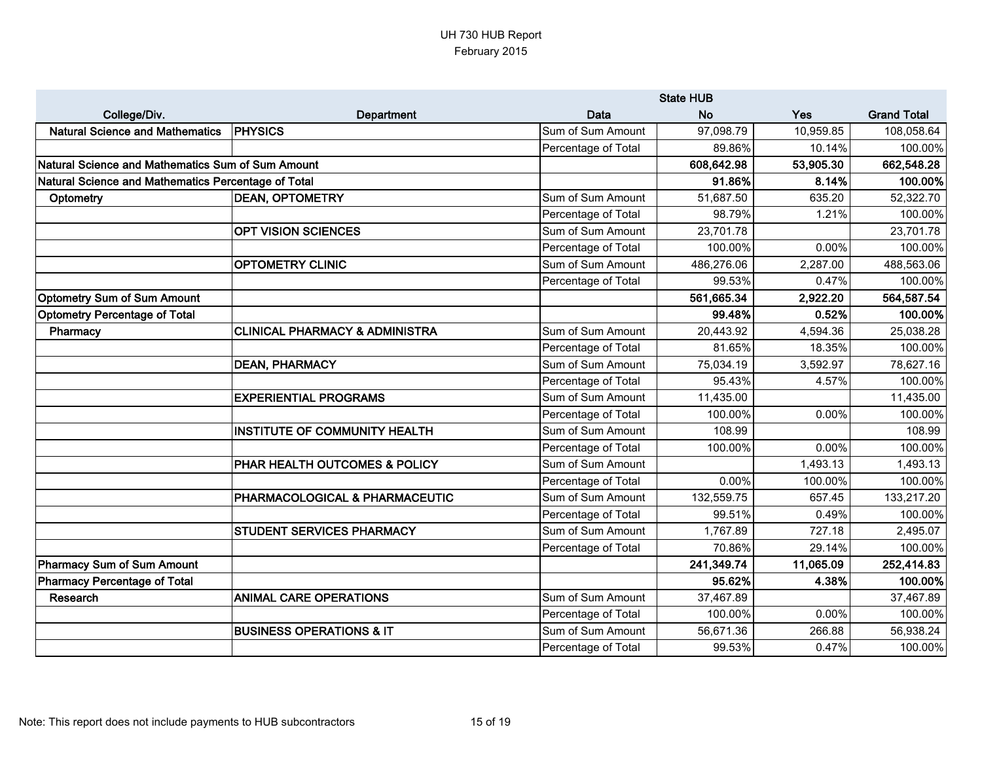|                                                     |                                           |                     | <b>State HUB</b> |           |                    |
|-----------------------------------------------------|-------------------------------------------|---------------------|------------------|-----------|--------------------|
| College/Div.                                        | <b>Department</b>                         | Data                | <b>No</b>        | Yes       | <b>Grand Total</b> |
| <b>Natural Science and Mathematics</b>              | <b>PHYSICS</b>                            | Sum of Sum Amount   | 97,098.79        | 10,959.85 | 108,058.64         |
|                                                     |                                           | Percentage of Total | 89.86%           | 10.14%    | 100.00%            |
| Natural Science and Mathematics Sum of Sum Amount   |                                           |                     | 608,642.98       | 53,905.30 | 662,548.28         |
| Natural Science and Mathematics Percentage of Total |                                           |                     | 91.86%           | 8.14%     | 100.00%            |
| Optometry                                           | <b>DEAN, OPTOMETRY</b>                    | Sum of Sum Amount   | 51,687.50        | 635.20    | 52,322.70          |
|                                                     |                                           | Percentage of Total | 98.79%           | 1.21%     | 100.00%            |
|                                                     | <b>OPT VISION SCIENCES</b>                | Sum of Sum Amount   | 23,701.78        |           | 23,701.78          |
|                                                     |                                           | Percentage of Total | 100.00%          | 0.00%     | 100.00%            |
|                                                     | <b>OPTOMETRY CLINIC</b>                   | Sum of Sum Amount   | 486,276.06       | 2,287.00  | 488,563.06         |
|                                                     |                                           | Percentage of Total | 99.53%           | 0.47%     | 100.00%            |
| <b>Optometry Sum of Sum Amount</b>                  |                                           |                     | 561,665.34       | 2,922.20  | 564,587.54         |
| Optometry Percentage of Total                       |                                           |                     | 99.48%           | 0.52%     | 100.00%            |
| Pharmacy                                            | <b>CLINICAL PHARMACY &amp; ADMINISTRA</b> | Sum of Sum Amount   | 20,443.92        | 4,594.36  | 25,038.28          |
|                                                     |                                           | Percentage of Total | 81.65%           | 18.35%    | 100.00%            |
|                                                     | <b>DEAN, PHARMACY</b>                     | Sum of Sum Amount   | 75,034.19        | 3,592.97  | 78,627.16          |
|                                                     |                                           | Percentage of Total | 95.43%           | 4.57%     | 100.00%            |
|                                                     | <b>EXPERIENTIAL PROGRAMS</b>              | Sum of Sum Amount   | 11,435.00        |           | 11,435.00          |
|                                                     |                                           | Percentage of Total | 100.00%          | 0.00%     | 100.00%            |
|                                                     | <b>INSTITUTE OF COMMUNITY HEALTH</b>      | Sum of Sum Amount   | 108.99           |           | 108.99             |
|                                                     |                                           | Percentage of Total | 100.00%          | 0.00%     | 100.00%            |
|                                                     | PHAR HEALTH OUTCOMES & POLICY             | Sum of Sum Amount   |                  | 1,493.13  | 1,493.13           |
|                                                     |                                           | Percentage of Total | 0.00%            | 100.00%   | 100.00%            |
|                                                     | PHARMACOLOGICAL & PHARMACEUTIC            | Sum of Sum Amount   | 132,559.75       | 657.45    | 133,217.20         |
|                                                     |                                           | Percentage of Total | 99.51%           | 0.49%     | 100.00%            |
|                                                     | <b>STUDENT SERVICES PHARMACY</b>          | Sum of Sum Amount   | 1,767.89         | 727.18    | 2,495.07           |
|                                                     |                                           | Percentage of Total | 70.86%           | 29.14%    | 100.00%            |
| Pharmacy Sum of Sum Amount                          |                                           |                     | 241,349.74       | 11,065.09 | 252,414.83         |
| <b>Pharmacy Percentage of Total</b>                 |                                           |                     | 95.62%           | 4.38%     | 100.00%            |
| Research                                            | <b>ANIMAL CARE OPERATIONS</b>             | Sum of Sum Amount   | 37,467.89        |           | 37,467.89          |
|                                                     |                                           | Percentage of Total | 100.00%          | 0.00%     | 100.00%            |
|                                                     | <b>BUSINESS OPERATIONS &amp; IT</b>       | Sum of Sum Amount   | 56,671.36        | 266.88    | 56,938.24          |
|                                                     |                                           | Percentage of Total | 99.53%           | 0.47%     | 100.00%            |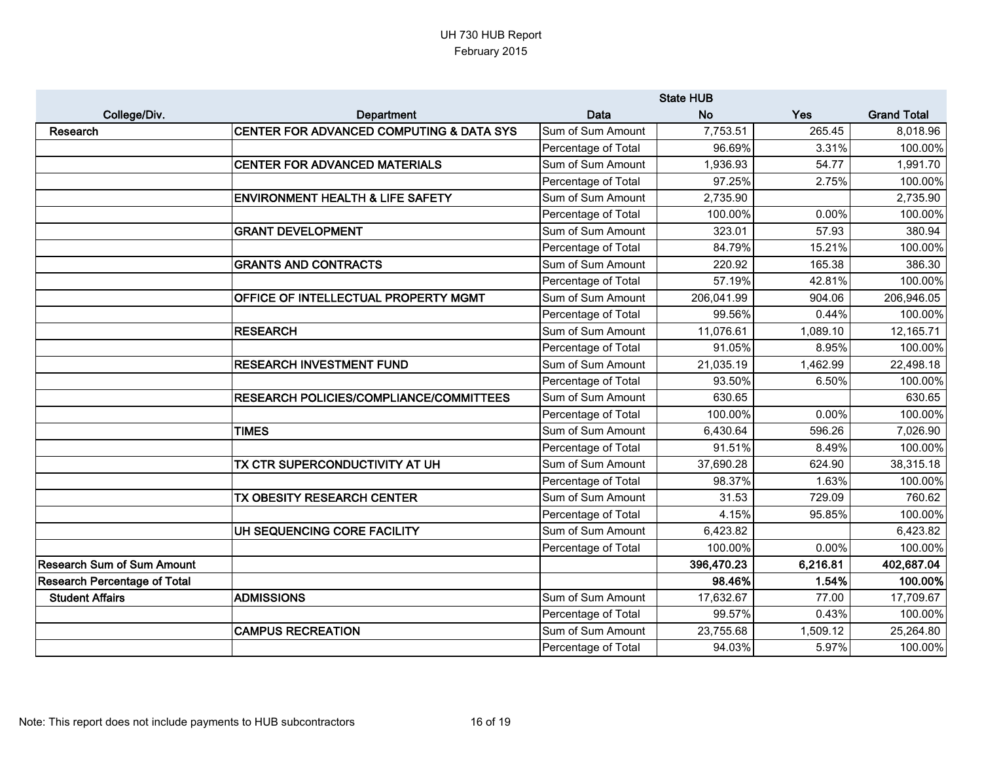|                                     |                                                | <b>State HUB</b>    |            |          |                    |
|-------------------------------------|------------------------------------------------|---------------------|------------|----------|--------------------|
| College/Div.                        | Department                                     | Data                | <b>No</b>  | Yes      | <b>Grand Total</b> |
| <b>Research</b>                     | CENTER FOR ADVANCED COMPUTING & DATA SYS       | Sum of Sum Amount   | 7,753.51   | 265.45   | 8,018.96           |
|                                     |                                                | Percentage of Total | 96.69%     | 3.31%    | 100.00%            |
|                                     | <b>CENTER FOR ADVANCED MATERIALS</b>           | Sum of Sum Amount   | 1,936.93   | 54.77    | 1,991.70           |
|                                     |                                                | Percentage of Total | 97.25%     | 2.75%    | 100.00%            |
|                                     | <b>ENVIRONMENT HEALTH &amp; LIFE SAFETY</b>    | Sum of Sum Amount   | 2,735.90   |          | 2,735.90           |
|                                     |                                                | Percentage of Total | 100.00%    | 0.00%    | 100.00%            |
|                                     | <b>GRANT DEVELOPMENT</b>                       | Sum of Sum Amount   | 323.01     | 57.93    | 380.94             |
|                                     |                                                | Percentage of Total | 84.79%     | 15.21%   | 100.00%            |
|                                     | <b>GRANTS AND CONTRACTS</b>                    | Sum of Sum Amount   | 220.92     | 165.38   | 386.30             |
|                                     |                                                | Percentage of Total | 57.19%     | 42.81%   | 100.00%            |
|                                     | OFFICE OF INTELLECTUAL PROPERTY MGMT           | Sum of Sum Amount   | 206,041.99 | 904.06   | 206,946.05         |
|                                     |                                                | Percentage of Total | 99.56%     | 0.44%    | 100.00%            |
|                                     | <b>RESEARCH</b>                                | Sum of Sum Amount   | 11,076.61  | 1,089.10 | 12,165.71          |
|                                     |                                                | Percentage of Total | 91.05%     | 8.95%    | 100.00%            |
|                                     | <b>RESEARCH INVESTMENT FUND</b>                | Sum of Sum Amount   | 21,035.19  | 1,462.99 | 22,498.18          |
|                                     |                                                | Percentage of Total | 93.50%     | 6.50%    | 100.00%            |
|                                     | <b>RESEARCH POLICIES/COMPLIANCE/COMMITTEES</b> | Sum of Sum Amount   | 630.65     |          | 630.65             |
|                                     |                                                | Percentage of Total | 100.00%    | 0.00%    | 100.00%            |
|                                     | <b>TIMES</b>                                   | Sum of Sum Amount   | 6,430.64   | 596.26   | 7,026.90           |
|                                     |                                                | Percentage of Total | 91.51%     | 8.49%    | 100.00%            |
|                                     | TX CTR SUPERCONDUCTIVITY AT UH                 | Sum of Sum Amount   | 37,690.28  | 624.90   | 38,315.18          |
|                                     |                                                | Percentage of Total | 98.37%     | 1.63%    | 100.00%            |
|                                     | TX OBESITY RESEARCH CENTER                     | Sum of Sum Amount   | 31.53      | 729.09   | 760.62             |
|                                     |                                                | Percentage of Total | 4.15%      | 95.85%   | 100.00%            |
|                                     | UH SEQUENCING CORE FACILITY                    | Sum of Sum Amount   | 6,423.82   |          | 6,423.82           |
|                                     |                                                | Percentage of Total | 100.00%    | 0.00%    | 100.00%            |
| <b>Research Sum of Sum Amount</b>   |                                                |                     | 396,470.23 | 6,216.81 | 402,687.04         |
| <b>Research Percentage of Total</b> |                                                |                     | 98.46%     | 1.54%    | 100.00%            |
| <b>Student Affairs</b>              | <b>ADMISSIONS</b>                              | Sum of Sum Amount   | 17,632.67  | 77.00    | 17,709.67          |
|                                     |                                                | Percentage of Total | 99.57%     | 0.43%    | 100.00%            |
|                                     | <b>CAMPUS RECREATION</b>                       | Sum of Sum Amount   | 23,755.68  | 1,509.12 | 25,264.80          |
|                                     |                                                | Percentage of Total | 94.03%     | 5.97%    | 100.00%            |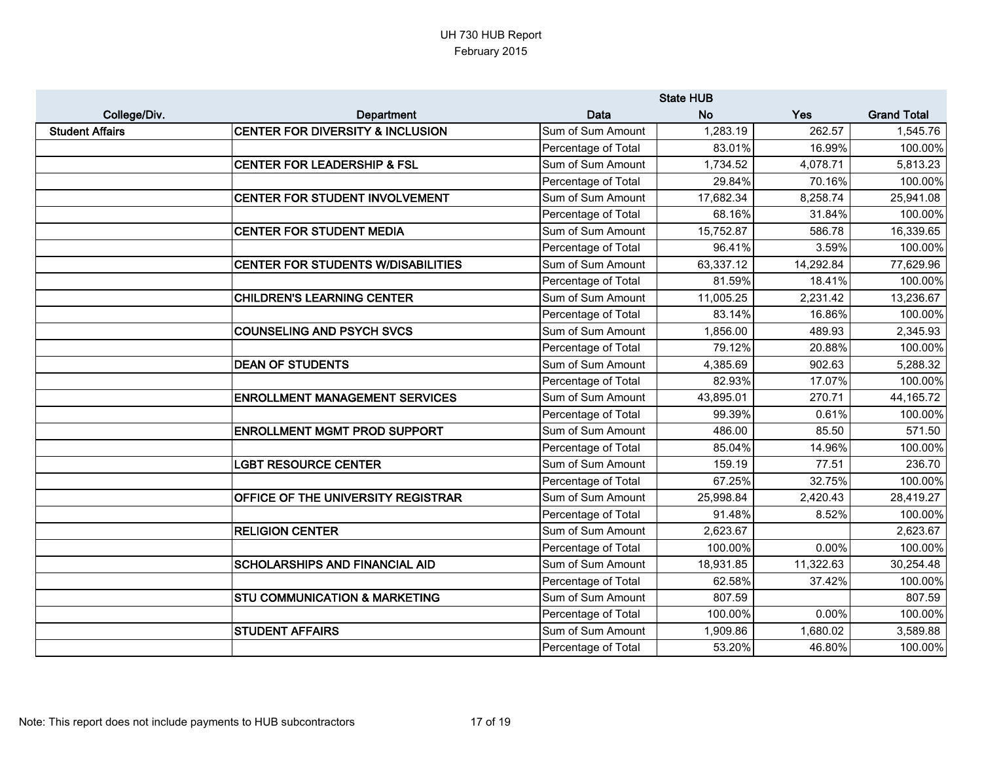|                        |                                             | <b>State HUB</b>    |           |           |                    |
|------------------------|---------------------------------------------|---------------------|-----------|-----------|--------------------|
| College/Div.           | Department                                  | Data                | <b>No</b> | Yes       | <b>Grand Total</b> |
| <b>Student Affairs</b> | <b>CENTER FOR DIVERSITY &amp; INCLUSION</b> | Sum of Sum Amount   | 1,283.19  | 262.57    | 1,545.76           |
|                        |                                             | Percentage of Total | 83.01%    | 16.99%    | 100.00%            |
|                        | <b>CENTER FOR LEADERSHIP &amp; FSL</b>      | Sum of Sum Amount   | 1,734.52  | 4,078.71  | 5,813.23           |
|                        |                                             | Percentage of Total | 29.84%    | 70.16%    | 100.00%            |
|                        | CENTER FOR STUDENT INVOLVEMENT              | Sum of Sum Amount   | 17,682.34 | 8,258.74  | 25,941.08          |
|                        |                                             | Percentage of Total | 68.16%    | 31.84%    | 100.00%            |
|                        | <b>CENTER FOR STUDENT MEDIA</b>             | Sum of Sum Amount   | 15,752.87 | 586.78    | 16,339.65          |
|                        |                                             | Percentage of Total | 96.41%    | 3.59%     | 100.00%            |
|                        | <b>CENTER FOR STUDENTS W/DISABILITIES</b>   | Sum of Sum Amount   | 63,337.12 | 14,292.84 | 77,629.96          |
|                        |                                             | Percentage of Total | 81.59%    | 18.41%    | 100.00%            |
|                        | <b>CHILDREN'S LEARNING CENTER</b>           | Sum of Sum Amount   | 11,005.25 | 2,231.42  | 13,236.67          |
|                        |                                             | Percentage of Total | 83.14%    | 16.86%    | 100.00%            |
|                        | <b>COUNSELING AND PSYCH SVCS</b>            | Sum of Sum Amount   | 1,856.00  | 489.93    | 2,345.93           |
|                        |                                             | Percentage of Total | 79.12%    | 20.88%    | 100.00%            |
|                        | <b>DEAN OF STUDENTS</b>                     | Sum of Sum Amount   | 4,385.69  | 902.63    | 5,288.32           |
|                        |                                             | Percentage of Total | 82.93%    | 17.07%    | 100.00%            |
|                        | <b>ENROLLMENT MANAGEMENT SERVICES</b>       | Sum of Sum Amount   | 43,895.01 | 270.71    | 44,165.72          |
|                        |                                             | Percentage of Total | 99.39%    | 0.61%     | 100.00%            |
|                        | <b>ENROLLMENT MGMT PROD SUPPORT</b>         | Sum of Sum Amount   | 486.00    | 85.50     | 571.50             |
|                        |                                             | Percentage of Total | 85.04%    | 14.96%    | 100.00%            |
|                        | <b>LGBT RESOURCE CENTER</b>                 | Sum of Sum Amount   | 159.19    | 77.51     | 236.70             |
|                        |                                             | Percentage of Total | 67.25%    | 32.75%    | 100.00%            |
|                        | OFFICE OF THE UNIVERSITY REGISTRAR          | Sum of Sum Amount   | 25,998.84 | 2,420.43  | 28,419.27          |
|                        |                                             | Percentage of Total | 91.48%    | 8.52%     | 100.00%            |
|                        | <b>RELIGION CENTER</b>                      | Sum of Sum Amount   | 2,623.67  |           | 2,623.67           |
|                        |                                             | Percentage of Total | 100.00%   | 0.00%     | 100.00%            |
|                        | <b>SCHOLARSHIPS AND FINANCIAL AID</b>       | Sum of Sum Amount   | 18,931.85 | 11,322.63 | 30,254.48          |
|                        |                                             | Percentage of Total | 62.58%    | 37.42%    | 100.00%            |
|                        | <b>STU COMMUNICATION &amp; MARKETING</b>    | Sum of Sum Amount   | 807.59    |           | 807.59             |
|                        |                                             | Percentage of Total | 100.00%   | 0.00%     | 100.00%            |
|                        | <b>STUDENT AFFAIRS</b>                      | Sum of Sum Amount   | 1,909.86  | 1,680.02  | 3,589.88           |
|                        |                                             | Percentage of Total | 53.20%    | 46.80%    | 100.00%            |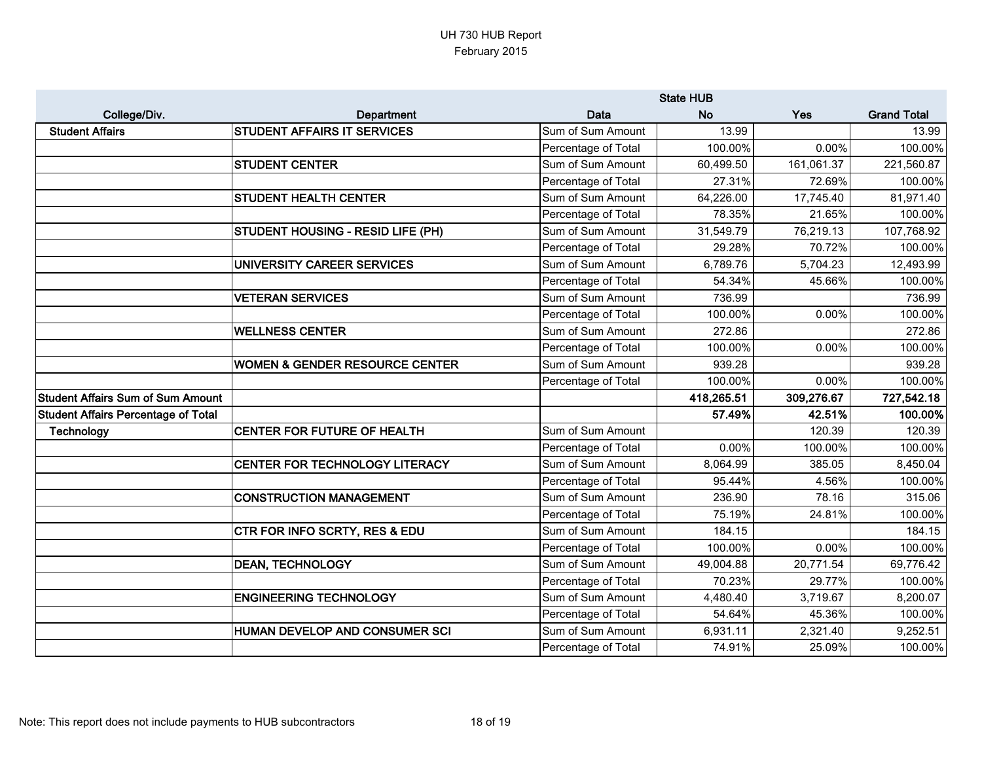|                                            |                                           | <b>State HUB</b>    |            |            |                    |
|--------------------------------------------|-------------------------------------------|---------------------|------------|------------|--------------------|
| College/Div.                               | Department                                | Data                | <b>No</b>  | Yes        | <b>Grand Total</b> |
| <b>Student Affairs</b>                     | <b>STUDENT AFFAIRS IT SERVICES</b>        | Sum of Sum Amount   | 13.99      |            | 13.99              |
|                                            |                                           | Percentage of Total | 100.00%    | 0.00%      | 100.00%            |
|                                            | <b>STUDENT CENTER</b>                     | Sum of Sum Amount   | 60,499.50  | 161,061.37 | 221,560.87         |
|                                            |                                           | Percentage of Total | 27.31%     | 72.69%     | 100.00%            |
|                                            | <b>STUDENT HEALTH CENTER</b>              | Sum of Sum Amount   | 64,226.00  | 17,745.40  | 81,971.40          |
|                                            |                                           | Percentage of Total | 78.35%     | 21.65%     | 100.00%            |
|                                            | STUDENT HOUSING - RESID LIFE (PH)         | Sum of Sum Amount   | 31,549.79  | 76,219.13  | 107,768.92         |
|                                            |                                           | Percentage of Total | 29.28%     | 70.72%     | 100.00%            |
|                                            | UNIVERSITY CAREER SERVICES                | Sum of Sum Amount   | 6,789.76   | 5,704.23   | 12,493.99          |
|                                            |                                           | Percentage of Total | 54.34%     | 45.66%     | 100.00%            |
|                                            | <b>VETERAN SERVICES</b>                   | Sum of Sum Amount   | 736.99     |            | 736.99             |
|                                            |                                           | Percentage of Total | 100.00%    | 0.00%      | 100.00%            |
|                                            | <b>WELLNESS CENTER</b>                    | Sum of Sum Amount   | 272.86     |            | 272.86             |
|                                            |                                           | Percentage of Total | 100.00%    | 0.00%      | 100.00%            |
|                                            | <b>WOMEN &amp; GENDER RESOURCE CENTER</b> | Sum of Sum Amount   | 939.28     |            | 939.28             |
|                                            |                                           | Percentage of Total | 100.00%    | 0.00%      | 100.00%            |
| <b>Student Affairs Sum of Sum Amount</b>   |                                           |                     | 418,265.51 | 309,276.67 | 727,542.18         |
| <b>Student Affairs Percentage of Total</b> |                                           |                     | 57.49%     | 42.51%     | 100.00%            |
| <b>Technology</b>                          | CENTER FOR FUTURE OF HEALTH               | Sum of Sum Amount   |            | 120.39     | 120.39             |
|                                            |                                           | Percentage of Total | 0.00%      | 100.00%    | 100.00%            |
|                                            | <b>CENTER FOR TECHNOLOGY LITERACY</b>     | Sum of Sum Amount   | 8,064.99   | 385.05     | 8,450.04           |
|                                            |                                           | Percentage of Total | 95.44%     | 4.56%      | 100.00%            |
|                                            | <b>CONSTRUCTION MANAGEMENT</b>            | Sum of Sum Amount   | 236.90     | 78.16      | 315.06             |
|                                            |                                           | Percentage of Total | 75.19%     | 24.81%     | 100.00%            |
|                                            | CTR FOR INFO SCRTY, RES & EDU             | Sum of Sum Amount   | 184.15     |            | 184.15             |
|                                            |                                           | Percentage of Total | 100.00%    | 0.00%      | 100.00%            |
|                                            | <b>DEAN, TECHNOLOGY</b>                   | Sum of Sum Amount   | 49,004.88  | 20,771.54  | 69,776.42          |
|                                            |                                           | Percentage of Total | 70.23%     | 29.77%     | 100.00%            |
|                                            | <b>ENGINEERING TECHNOLOGY</b>             | Sum of Sum Amount   | 4,480.40   | 3,719.67   | 8,200.07           |
|                                            |                                           | Percentage of Total | 54.64%     | 45.36%     | 100.00%            |
|                                            | HUMAN DEVELOP AND CONSUMER SCI            | Sum of Sum Amount   | 6,931.11   | 2,321.40   | 9,252.51           |
|                                            |                                           | Percentage of Total | 74.91%     | 25.09%     | 100.00%            |